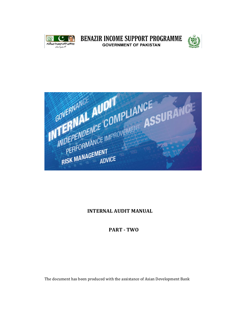

**BENAZIR INCOME SUPPORT PROGRAMME GOVERNMENT OF PAKISTAN** 





## **INTERNAL AUDIT MANUAL**

## **PART - TWO**

The document has been produced with the assistance of Asian Development Bank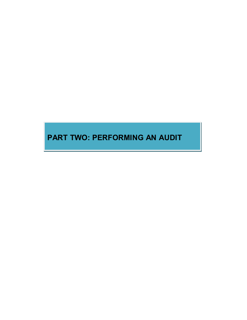# **PART TWO: PERFORMING AN AUDIT**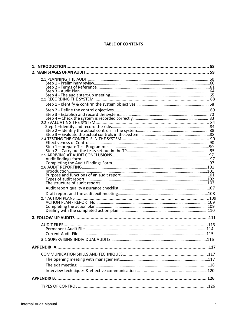#### **TABLE OF CONTENTS**

| 1. INTRODUCTION | 58 |
|-----------------|----|
|                 |    |
|                 |    |
|                 |    |
|                 |    |
|                 |    |
|                 |    |
|                 |    |
|                 |    |
|                 |    |
|                 |    |
|                 |    |
|                 |    |
|                 |    |
|                 |    |
|                 |    |
|                 |    |
|                 |    |
|                 |    |
|                 |    |
|                 |    |
|                 |    |
|                 |    |
|                 |    |
|                 |    |
|                 |    |
|                 |    |
|                 |    |
|                 |    |
|                 |    |
|                 |    |
|                 |    |
|                 |    |
|                 |    |
|                 |    |
|                 |    |
|                 |    |
|                 |    |
|                 |    |
|                 |    |
|                 |    |
|                 |    |
|                 |    |
|                 |    |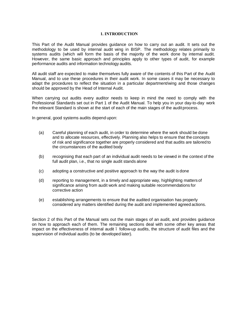#### **1. INTRODUCTION**

This Part of the Audit Manual provides guidance on how to carry out an audit. It sets out the methodology to be used by internal audit wing in BISP. The methodology relates primarily to systems audits (which will form the basis of the majority of the work done by internal audit. However, the same basic approach and principles apply to other types of audit, for example performance audits and information technology audits.

All audit staff are expected to make themselves fully aware of the contents of this Part of the Audit Manual, and to use these procedures in their audit work. In some cases it may be necessary to adapt the procedures to reflect the situation in a particular department/wing and those changes should be approved by the Head of Internal Audit.

When carrying out audits every auditor needs to keep in mind the need to comply with the Professional Standards set out in Part 1 of the Audit Manual. To help you in your day-to-day work the relevant Standard is shown at the start of each of the main stages of the audit process.

In general, good systems audits depend upon:

- (a) Careful planning of each audit, in order to determine where the work should be done and to allocate resources, effectively. Planning also helps to ensure that the concepts of risk and significance together are properly considered and that audits are tailored to the circumstances of the audited body
- (b) recognising that each part of an individual audit needs to be viewed in the context of the full audit plan, i.e., that no single audit stands alone
- (c) adopting a constructive and positive approach to the way the audit is done
- (d) reporting to management, in a timely and appropriate way, highlighting matters of significance arising from audit work and making suitable recommendations for corrective action
- (e) establishing arrangements to ensure that the audited organisation has properly considered any matters identified during the audit and implemented agreed actions.

Section 2 of this Part of the Manual sets out the main stages of an audit, and provides guidance on how to approach each of them. The remaining sections deal with some other key areas that impact on the effectiveness of internal audit – follow-up audits, the structure of audit files and the supervision of individual audits (to be developed later).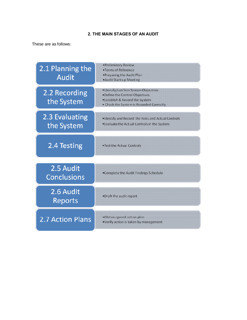## **2. THE MAIN STAGES OF AN AUDIT**

These are as follows:

| 2.1 Planning the<br><b>Audit</b> | •Preliminary Review<br>•Terms of Reference<br>.Preparing the Audit Plan<br>. Audit Start-up Meeting                                                  |
|----------------------------------|------------------------------------------------------------------------------------------------------------------------------------------------------|
| 2.2 Recording<br>the System      | ·Identify/confirm System Objectives<br>•Define the Control Objectives<br>. Establish & Record the System<br>• Check the System is Recorded Correctly |
| 2.3 Evaluating<br>the System     | . Identify and Record the Risks and Actual Controls<br>. Evaluate the Actual Controls in the System                                                  |
| 2.4 Testing                      | •Test the Actual Controls                                                                                                                            |
| 2.5 Audit<br><b>Conclusions</b>  | •Complete the Audit Findings Schedule                                                                                                                |
| 2.6 Audit<br>Reports             | .Draft the audit report                                                                                                                              |
| 2.7 Action Plans                 | .Obtain agreed action plan<br>•Verify action is taken by management                                                                                  |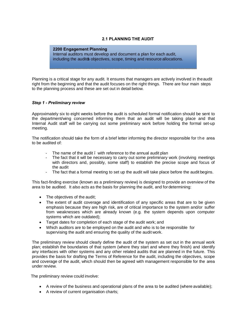## **2.1 PLANNING THE AUDIT**

**2200 Engagement Planning** Internal auditors must develop and document a plan for each audit, including the audits objectives, scope, timing and resource allocations.

Planning is a critical stage for any audit. It ensures that managers are actively involved in theaudit right from the beginning and that the audit focuses on the right things. There are four main steps to the planning process and these are set out in detail below.

#### *Step 1 - Preliminary review*

Approximately six to eight weeks before the audit is scheduled formal notification should be sent to the department/wing concerned informing them that an audit will be taking place and that Internal Audit staff will be carrying out some preliminary work before holding the formal set-up meeting.

The notification should take the form of a brief letter informing the director responsible for t h e area to be audited of:

- The name of the audit . with reference to the annual audit plan
- The fact that it will be necessary to carry out some preliminary work (involving meetings with directors and, possibly, some staff) to establish the precise scope and focus of the audit
- The fact that a formal meeting to set up the audit will take place before the audit begins.

This fact-finding exercise (known as a preliminary review) is designed to provide an overview of the area to be audited. It also acts as the basis for planning the audit, and for determining:

- The objectives of the audit;
- The extent of audit coverage and identification of any specific areas that are to be given emphasis because they are high risk, are of critical importance to the system and/or suffer from weaknesses which are already known (e.g. the system depends upon computer systems which are outdated);
- · Target dates for completion of each stage of the audit work; and
- · Which auditors are to be employed on the audit and who is to be responsible for supervising the audit and ensuring the quality of the audit work.

The preliminary review should clearly define the audit of the system as set out in the annual work plan; establish the boundaries of that system (where they start and where they finish) and identify any interfaces with other systems and any other related audits that are planned in the future. This provides the basis for drafting the Terms of Reference for the audit, including the objectives, scope and coverage of the audit, which should then be agreed with management responsible for the area under review.

The preliminary review could involve:

- · A review of the business and operational plans of the area to be audited (where available);
- · A review of current organisation charts;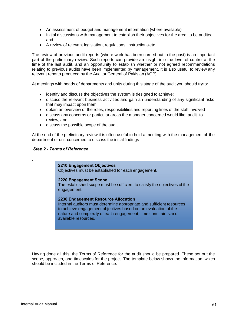- · An assessment of budget and management information (where available) ;
- · Initial discussions with management to establish their objectives for the area to be audited, and
- · A review of relevant legislation, regulations, instructions etc.

The review of previous audit reports (where work has been carried out in the past) is an important part of the preliminary review. Such reports can provide an insight into the level of control at the time of the last audit, and an opportunity to establish whether or not agreed recommendations relating to previous audits have been implemented by management. It is also useful to review any relevant reports produced by the Auditor General of Pakistan (AGP).

At meetings with heads of departments and units during this stage of the audit you should tryto:

- · identify and discuss the objectives the system is designed to achieve;
- · discuss the relevant business activities and gain an understanding of any significant risks that may impact upon them;
- obtain an overview of the roles, responsibilities and reporting lines of the staff involved;
- · discuss any concerns or particular areas the manager concerned would like audit to review, and
- · discuss the possible scope of the audit.

At the end of the preliminary review it is often useful to hold a meeting with the management of the department or unit concerned to discuss the initial findings

#### *Step 2 - Terms of Reference*

.

**2210 Engagement Objectives**

Objectives must be established for each engagement.

#### **2220 Engagement Scope**

The established scope must be sufficient to satisfy the objectives of the engagement.

#### **2230 Engagement Resource Allocation**

Internal auditors must determine appropriate and sufficient resources to achieve engagement objectives based on an evaluation of the nature and complexity of each engagement, time constraints and available resources.

Having done all this, the Terms of Reference for the audit should be prepared. These set out the scope, approach, and timescales for the project. The template below shows the information which should be included in the Terms of Reference.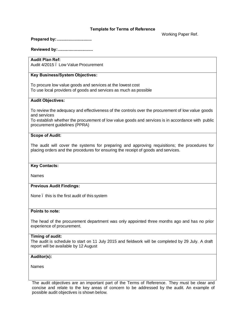#### **Template for Terms of Reference**

Working Paper Ref.

**Prepared by:..............................**

**Reviewed by:..............................**

## **Audit Plan Ref:**

Audit 4/2015 – Low Value Procurement

## **Key Business/System Objectives:**

To procure low value goods and services at the lowest cost To use local providers of goods and services as much as possible

## **Audit Objectives:**

To review the adequacy and effectiveness of the controls over the procurement of low value goods and services

To establish whether the procurement of low value goods and services is in accordance with public procurement guidelines (PPRA)

#### **Scope of Audit:**

The audit will cover the systems for preparing and approving requisitions; the procedures for placing orders and the procedures for ensuring the receipt of goods and services.

#### **Key Contacts:**

Names

#### **Previous Audit Findings:**

None – this is the first audit of this system

#### **Points to note:**

The head of the procurement department was only appointed three months ago and has no prior experience of procurement.

#### **Timing of audit:**

The audit is schedule to start on 11 July 2015 and fieldwork will be completed by 29 July. A draft report will be available by 12 August

#### **Auditor(s):**

Names

The audit objectives are an important part of the Terms of Reference. They must be clear and concise and relate to the key areas of concern to be addressed by the audit. An example of possible audit objectives is shown below.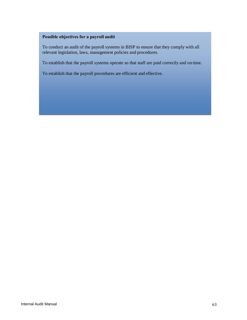## **Possible objectives for a payroll audit**

To conduct an audit of the payroll systems in BISP to ensure that they comply with all relevant legislation, laws, management policies and procedures.

To establish that the payroll systems operate so that staff are paid correctly and on time.

To establish that the payroll procedures are efficient and effective.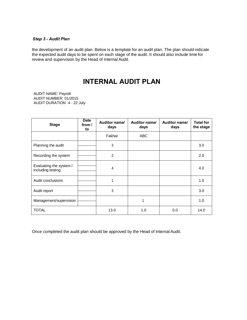#### *Step 3 - Audit Plan*

the development of an audit plan. Below is a template for an audit plan. The plan should indicate the expected audit days to be spent on each stage of the audit. It should also include time for review and supervision by the Head of Internal Audit.

## **INTERNAL AUDIT PLAN**

AUDIT NAME: Payroll AUDIT NUMBER: 01/2015 AUDIT DURATION 4 - 22 July

| <b>Date</b><br><b>Stage</b><br>from $\prime$<br>to |  | Auditor name/<br>days | Auditor name/<br>days | Auditor name/<br>days | <b>Total for</b><br>the stage |
|----------------------------------------------------|--|-----------------------|-----------------------|-----------------------|-------------------------------|
|                                                    |  | Fakhar                | <b>ABC</b>            |                       |                               |
| Planning the audit                                 |  | 3                     |                       |                       | 3.0                           |
| Recording the system                               |  | 2                     |                       |                       | 2.0                           |
| Evaluating the system.<br>including testing        |  | 4                     |                       |                       | 4.0                           |
| Audit conclusions                                  |  | 1                     |                       |                       | 1.0                           |
| Audit report                                       |  | 3                     |                       |                       | 3.0                           |
| Management/supervision                             |  |                       | 1                     |                       | 1.0                           |
| TOTAL                                              |  | 13.0                  | 1.0                   | 0.0                   | 14.0                          |

Once completed the audit plan should be approved by the Head of Internal Audit.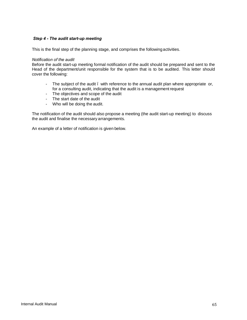#### *Step 4 - The audit start-up meeting*

This is the final step of the planning stage, and comprises the following activities.

#### *Notification of the audit*

Before the audit start-up meeting formal notification of the audit should be prepared and sent to the Head of the department/unit responsible for the system that is to be audited. This letter should cover the following:

- The subject of the audit . with reference to the annual audit plan where appropriate or, for a consulting audit, indicating that the audit is a management request
- The objectives and scope of the audit
- The start date of the audit
- Who will be doing the audit.

The notification of the audit should also propose a meeting (the audit start-up meeting) to discuss the audit and finalise the necessary arrangements.

An example of a letter of notification is given below.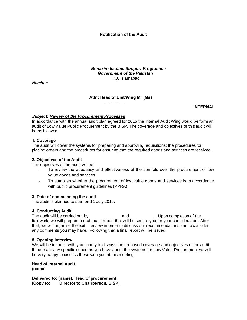**Notification of the Audit**

*Benazire Income Support Programme Government of the Pakistan* HQ, Islamabad

*Number:*

#### **Attn: Head of Unit/Wing Mr (Ms)**

**..................**

#### **INTERNAL**

## *Subject***:** *Review of the Procurement Processes*

In accordance with the annual audit plan agreed for 2015 the Internal Audit Wing would perform an audit of Low Value Public Procurement by the BISP. The coverage and objectives of this audit will be as follows:

## **1. Coverage**

The audit will cover the systems for preparing and approving requisitions; the procedures for placing orders and the procedures for ensuring that the required goods and services are received.

#### **2. Objectives of the Audit**

The objectives of the audit will be:

- To review the adequacy and effectiveness of the controls over the procurement of low value goods and services
- To establish whether the procurement of low value goods and services is in accordance with public procurement guidelines (PPRA)

#### **3. Date of commencing the audit**

The audit is planned to start on 11 July 2015.

## **4. Conducting Audit**

The audit will be carried out by and **and the audit will be carried out by** and **and** Upon completion of the fieldwork, we will prepare a draft audit report that will be sent to you for your consideration. After that, we will organise the exit interview in order to discuss our recommendations and to consider any comments you may have. Following that a final report will be issued.

#### **5. Opening Interview**

We will be in touch with you shortly to discuss the proposed coverage and objectives of the audit. If there are any specific concerns you have about the systems for Low Value Procurement we will be very happy to discuss these with you at this meeting.

**Head of Internal Audit**, **(name)**

**Delivered to: (name), Head of procurement [Copy to: Director to Chairperson, BISP]**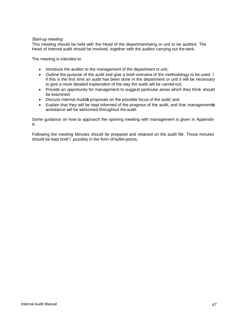## *Start-up meeting*

This meeting should be held with the Head of the department/wing or unit to be audited. The Head of Internal audit should be involved, together with the auditor carrying out the work.

The meeting is intended to:

- · Introduce the auditor to the management of the department or unit;
- Outline the purpose of the audit and give a brief overview of the methodology to be used. if this is the first time an audit has been done in the department or unit it will be necessary to give a more detailed explanation of the way the audit will be carried out;
- · Provide an opportunity for management to suggest particular areas which they think should be examined;
- Discuss Internal Audits proposals on the possible focus of the audit; and
- Explain that they will be kept informed of the progress of the audit, and that managements assistance will be welcomed throughout the audit.

Some guidance on how to approach the opening meeting with management is given in Appendix A.

Following the meeting Minutes should be prepared and retained on the audit file. Those minutes should be kept brief – possibly in the form of bullet-points.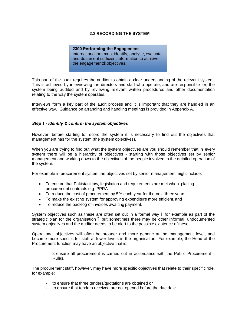## **2.2 RECORDING THE SYSTEM**

**2300 Performing the Engagement** Internal auditors must identify, analyse, evaluate and document sufficient information to achieve the engagements objectives.

This part of the audit requires the auditor to obtain a clear understanding of the relevant system. This is achieved by interviewing the directors and staff who operate, and are responsible for, the system being audited and by reviewing relevant written procedures and other documentation relating to the way the system operates.

Interviews form a key part of the audit process and it is important that they are handled in an effective way. Guidance on arranging and handling meetings is provided in Appendix A.

#### *Step 1 - Identify & confirm the system objectives*

However, before starting to record the system it is necessary to find out the objectives that management has for the system (the system objectives).

When you are trying to find out what the system objectives are you should remember that in every system there will be a hierarchy of objectives - starting with those objectives set by senior management and working down to the objectives of the people involved in the detailed operation of the system.

For example in procurement system the objectives set by senior management might include:

- · To ensure that Pakistani law, legislation and requirements are met when placing procurement contracts e.g. PPRA
- · To reduce the cost of procurement by 5% each year for the next three years;
- · To make the existing system for approving expenditure more efficient, and
- · To reduce the backlog of invoices awaiting payment.

System obiectives such as these are often set out in a formal way. for example as part of the strategic plan for the organisation . but sometimes there may be other informal, undocumented system objectives and the auditor needs to be alert to the possible existence of these.

Operational objectives will often be broader and more generic at the management level, and become more specific for staff at lower levels in the organisation. For example, the Head of the Procurement function may have an objective that is:

to ensure all procurement is carried out in accordance with the Public Procurement Rules.

The procurement staff, however, may have more specific objectives that relate to their specific role, for example:

- to ensure that three tenders/quotations are obtained or
- to ensure that tenders received are not opened before the due date.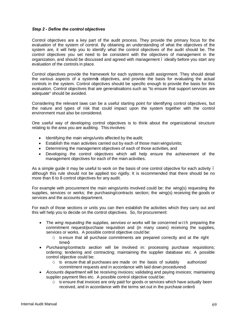## *Step 2 - Define the control objectives*

Control objectives are a key part of the audit process. They provide the primary focus for the evaluation of the system of control. By obtaining an understanding of what the objectives of the system are, it will help you to identify what the control objectives of the audit should be. The control objectives you set need to be consistent with the objectives of management in the organization, and should be discussed and agreed with management – ideally before you start any evaluation of the controls in place.

Control objectives provide the framework for each systems audit assignment. They should detail the various aspects of a system sobjectives, and provide the basis for evaluating the actual controls in the system. Control objectives should be specific enough to provide the basis for this evaluation. Control objectives that are generalisations such as "to ensure that support services are adequate" should be avoided.

Considering the relevant laws can be a useful starting point for identifying control objectives, but the nature and types of risk that could impact upon the system together with the control environment must also be considered.

One useful way of developing control objectives is to think about the organizational structure relating to the area you are auditing. This involves:

- · Identifying the main wings/units affected by the audit;
- · Establish the main activities carried out by each of those main wings/units;
- · Determining the management objectives of each of those activities, and
- · Developing the control objectives which will help ensure the achievement of the management objectives for each of the main activities.

As a simple guide it may be useful to work on the basis of one control objective for each activity. although this rule should not be applied too rigidly. It is recommended that there should be no more than 6 to 8 control objectives for any audit.

For example with procurement the main wings/units involved could be: the wing(s) requesting the supplies, services or works; the purchasing/contracts section; the wing(s) receiving the goods or services and the accounts department.

For each of those sections or units you can then establish the activities which they carry out and this will help you to decide on the control objectives. So, for procurement:

- The *wing requesting the supplies, services or works* will be concerned with preparing the commitment request/purchase requisition and (in many cases) receiving the supplies, services or works. A possible control objective could be:
	- O to ensure that all purchase commitments are prepared correctly and at the right  $time_{\pm}$
- · *Purchasing/contracts section* will be involved in: processing purchase requisitions; ordering; tendering and contracting; maintaining the supplier database etc. A possible control objective could be:
	- $\circ$  to ensure that all purchases are made on the basis of suitably authorized commitment requests and in accordance with laid down procedures $\pm$
- · *Accounts department* will be receiving invoices; validating and paying invoices; maintaining supplier payment files etc. A possible control objective could be:
	- $\circ$  to ensure that invoices are only paid for goods or services which have actually been received, and in accordance with the terms set out in the purchase order±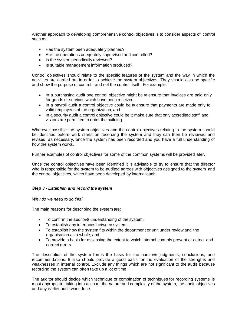Another approach to developing comprehensive control objectives is to consider aspects of control such as:

- · Has the system been adequately planned?
- · Are the operations adequately supervised and controlled?
- · Is the system periodically reviewed?
- · Is suitable management information produced?

Control objectives should relate to the specific features of the system and the way in which the activities are carried out in order to achieve the system objectives. They should also be specific and show the purpose of control - and not the control itself. For example:

- · In a purchasing audit one control objective might be to ensure that invoices are paid only for goods or services which have been received;
- · In a payroll audit a control objective could be to ensure that payments are made only to valid employees of the organization; and
- · In a security audit a control objective could be to make sure that only accredited staff and visitors are permitted to enter the building.

Wherever possible the system objectives and the control objectives relating to the system should be identified before work starts on recording the system and they can then be reviewed and revised, as necessary, once the system has been recorded and you have a full understanding of how the system works.

Further examples of control objectives for some of the common systems will be provided later.

Once the control objectives have been identified it is advisable to try to ensure that the director who is responsible for the system to be audited agrees with objectives assigned to the system and the control objectives, which have been developed by internal audit.

#### *Step 3 - Establish and record the system*

#### *Why do we need to do this?*

The main reasons for describing the system are:

- To confirm the auditors understanding of the system;
- · To establish any interfaces between systems;
- · To establish how the system fits within the department or unit under review and the organisation as a whole; and
- · To provide a basis for assessing the extent to which internal controls prevent or detect and correct errors.

The description of the system forms the basis for the auditors judgments, conclusions, and recommendations. It also should provide a good basis for the evaluation of the strengths and weaknesses in internal control. Exclude any things which are not significant to the audit because recording the system can often take up a lot of time.

The auditor should decide which technique or combination of techniques for recording systems is most appropriate, taking into account the nature and complexity of the system, the audit objectives and any earlier audit work done.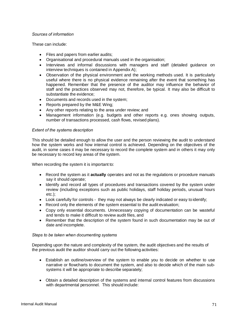## *Sources of information*

These can include:

- · Files and papers from earlier audits;
- · Organisational and procedural manuals used in the organisation;
- · Interviews and informal discussions with managers and staff (detailed guidance on interview techniques is contained in Appendix A);
- · Observation of the physical environment and the working methods used. It is particularly useful where there is no physical evidence remaining after the event that something has happened. Remember that the presence of the auditor may influence the behavior of staff and the practices observed may not, therefore, be typical. It may also be difficult to substantiate the evidence;
- · Documents and records used in the system;
- · Reports prepared by the M&E Wing;
- · Any other reports relating to the area under review; and
- · Management information (e.g. budgets and other reports e.g. ones showing outputs, number of transactions processed, cash flows, revised plans).

## *Extent of the systems description*

This should be detailed enough to allow the user and the person reviewing the audit to understand how the system works and how internal control is achieved. Depending on the objectives of the audit, in some cases it may be necessary to record the complete system and in others it may only be necessary to record key areas of the system.

When recording the system it is important to:

- · Record the system as it **actually** operates and not as the regulations or procedure manuals say it should operate;
- · Identify and record all types of procedures and transactions covered by the system under review (including exceptions such as public holidays, staff holiday periods, unusual hours etc.);
- · Look carefully for controls they may not always be clearly indicated or easy to identify;
- · Record only the elements of the system essential to the audit evaluation;
- · Copy only essential documents. Unnecessary copying of documentation can be wasteful and tends to make it difficult to review audit files, and
- Remember that the description of the system found in such documentation may be out of date and incomplete.

## *Steps to be taken when documenting systems*

Depending upon the nature and complexity of the system, the audit objectives and the results of the previous audit the auditor should carry out the following activities:

- Establish an outline/overview of the system to enable you to decide on whether to use narrative or flowcharts to document the system, and also to decide which of the main subsystems it will be appropriate to describe separately;
- · Obtain a detailed description of the systems and internal control features from discussions with departmental personnel. This should include: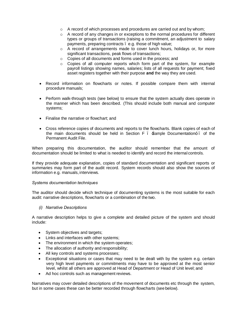- $\circ$  A record of which processes and procedures are carried out and by whom;
- $\circ$  A record of any changes in or exceptions to the normal procedures for different types or groups of transactions (raising a commitment, an adjustment to salary payments, preparing contracts – e.g. those of high value;
- $\circ$  A record of arrangements made to cover lunch hours, holidays or, for more significant transactions, peak flows of transactions;
- ° Copies of all documents and forms used in the process; and
- $\circ$  Copies of all computer reports which form part of the system, for example payroll listings showing names, salaries; lists of all requests for payment; fixed asset registers together with their purpose **and** the way they are used.
- · Record information on flowcharts or notes. If possible compare them with internal procedure manuals;
- · Perform walk-through tests (see below) to ensure that the system actually does operate in the manner which has been described. (This should include both manual and computer systems;
- · Finalise the narrative or flowchart; and
- · Cross reference copies of documents and reports to the flowcharts. Blank copies of each of the main documents should be held in Section  $F -$  Sample Documentation $\pm$  of the Permanent Audit File.

When preparing this documentation, the auditor should remember that the amount of documentation should be limited to what is needed to identify and record the internal controls.

If they provide adequate explanation, copies of standard documentation and significant reports or summaries may form part of the audit record. System records should also show the sources of information e.g. manuals, interviews.

#### *Systems documentation techniques*

The auditor should decide which technique of documenting systems is the most suitable for each audit: narrative descriptions, flowcharts or a combination of the two.

*(i) Narrative Descriptions*

A narrative description helps to give a complete and detailed picture of the system and should include:

- System objectives and targets;
- · Links and interfaces with other systems;
- The environment in which the system operates;
- The allocation of authority and responsibility;
- All key controls and systems processes;
- Exceptional situations or cases that may need to be dealt with by the system e.g. certain very high level payments or commitments may have to be approved at the most senior level, whilst all others are approved at Head of Department or Head of Unit level; and
- · Ad hoc controls such as management reviews.

Narratives may cover detailed descriptions of the movement of documents etc through the system, but in some cases these can be better recorded through flowcharts (see below).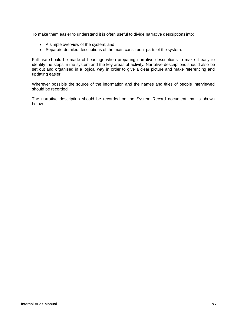To make them easier to understand it is often useful to divide narrative descriptions into:

- · A simple overview of the system; and
- · Separate detailed descriptions of the main constituent parts of the system.

Full use should be made of headings when preparing narrative descriptions to make it easy to identify the steps in the system and the key areas of activity. Narrative descriptions should also be set out and organised in a logical way in order to give a clear picture and make referencing and updating easier.

Wherever possible the source of the information and the names and titles of people interviewed should be recorded.

The narrative description should be recorded on the System Record document that is shown below.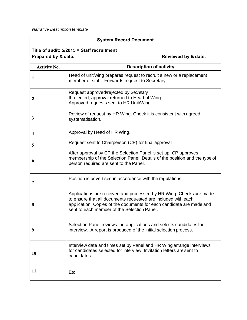*Narrative Description template*

| <b>System Record Document</b>                         |                                                                                                                                                                                                                                                             |  |  |  |  |  |
|-------------------------------------------------------|-------------------------------------------------------------------------------------------------------------------------------------------------------------------------------------------------------------------------------------------------------------|--|--|--|--|--|
| Title of audit: 5/2015 = Staff recruitment            |                                                                                                                                                                                                                                                             |  |  |  |  |  |
| Prepared by & date:<br><b>Reviewed by &amp; date:</b> |                                                                                                                                                                                                                                                             |  |  |  |  |  |
| <b>Activity No.</b>                                   | <b>Description of activity</b>                                                                                                                                                                                                                              |  |  |  |  |  |
| 1                                                     | Head of unit/wing prepares request to recruit a new or a replacement<br>member of staff. Forwards request to Secretary                                                                                                                                      |  |  |  |  |  |
| 2                                                     | Request approved/rejected by Secretary<br>If rejected, approval returned to Head of Wing<br>Approved requests sent to HR Unit/Wing.                                                                                                                         |  |  |  |  |  |
| 3                                                     | Review of request by HR Wing. Check it is consistent with agreed<br>systematisation.                                                                                                                                                                        |  |  |  |  |  |
| 4                                                     | Approval by Head of HR Wing.                                                                                                                                                                                                                                |  |  |  |  |  |
| 5                                                     | Request sent to Chairperson (CP) for final approval                                                                                                                                                                                                         |  |  |  |  |  |
| 6                                                     | After approval by CP the Selection Panel is set up. CP approves<br>membership of the Selection Panel. Details of the position and the type of<br>person required are sent to the Panel.                                                                     |  |  |  |  |  |
| 7                                                     | Position is advertised in accordance with the regulations                                                                                                                                                                                                   |  |  |  |  |  |
| 8                                                     | Applications are received and processed by HR Wing. Checks are made<br>to ensure that all documents requested are included with each<br>application. Copies of the documents for each candidate are made and<br>sent to each member of the Selection Panel. |  |  |  |  |  |
| 9                                                     | Selection Panel reviews the applications and selects candidates for<br>interview. A report is produced of the initial selection process.                                                                                                                    |  |  |  |  |  |
| 10                                                    | Interview date and times set by Panel and HR Wing arrange interviews<br>for candidates selected for interview. Invitation letters are sent to<br>candidates.                                                                                                |  |  |  |  |  |
| 11                                                    | Etc                                                                                                                                                                                                                                                         |  |  |  |  |  |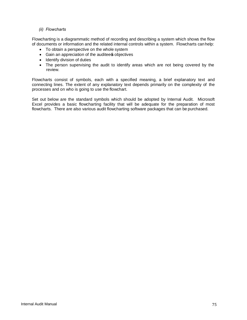## *(ii) Flowcharts*

Flowcharting is a diagrammatic method of recording and describing a system which shows the flow of documents or information and the related internal controls within a system. Flowcharts can help:

- · To obtain a perspective on the whole system
- Gain an appreciation of the auditees objectives
- · Identify division of duties
- The person supervising the audit to identify areas which are not being covered by the review.

Flowcharts consist of symbols, each with a specified meaning, a brief explanatory text and connecting lines. The extent of any explanatory text depends primarily on the complexity of the processes and on who is going to use the flowchart.

Set out below are the standard symbols which should be adopted by Internal Audit. Microsoft Excel provides a basic flowcharting facility that will be adequate for the preparation of most flowcharts. There are also various audit flowcharting software packages that can be purchased.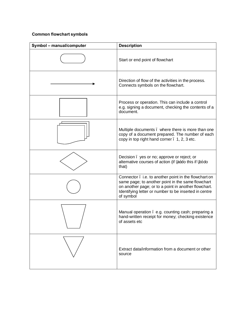## **Common flowchart symbols**

| Symbol - manual/computer | <b>Description</b>                                                                                                                                                                                                                       |
|--------------------------|------------------------------------------------------------------------------------------------------------------------------------------------------------------------------------------------------------------------------------------|
|                          | Start or end point of flowchart                                                                                                                                                                                                          |
|                          | Direction of flow of the activities in the process.<br>Connects symbols on the flowchart.                                                                                                                                                |
|                          | Process or operation. This can include a control<br>e.g. signing a document, checking the contents of a<br>document.                                                                                                                     |
|                          | Multiple documents . where there is more than one<br>copy of a document prepared. The number of each<br>copy in top right hand corner . 1, 2, 3 etc.                                                                                     |
|                          | Decision yes or no; approve or reject; or<br>alternative courses of action (if a±do this if b±do<br>that)                                                                                                                                |
|                          | Connector . i.e. to another point in the flowchart on<br>same page; to another point in the same flowchart<br>on another page; or to a point in another flowchart.<br>Identifying letter or number to be inserted in centre<br>of symbol |
|                          | Manual operation . e.g. counting cash; preparing a<br>hand-written receipt for money; checking existence<br>of assets etc                                                                                                                |
|                          | Extract data/information from a document or other<br>source                                                                                                                                                                              |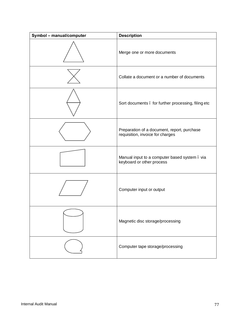| Symbol - manual/computer | <b>Description</b>                                                              |
|--------------------------|---------------------------------------------------------------------------------|
|                          | Merge one or more documents                                                     |
|                          | Collate a document or a number of documents                                     |
|                          | Sort documents . for further processing, filing etc                             |
|                          | Preparation of a document, report, purchase<br>requisition, invoice for charges |
|                          | Manual input to a computer based system. via<br>keyboard or other process       |
|                          | Computer input or output                                                        |
|                          | Magnetic disc storage/processing                                                |
|                          | Computer tape storage/processing                                                |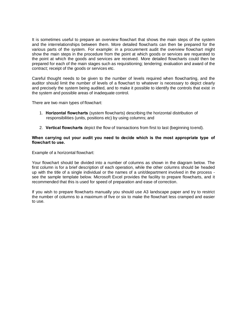It is sometimes useful to prepare an overview flowchart that shows the main steps of the system and the interrelationships between them. More detailed flowcharts can then be prepared for the various parts of the system. For example: in a procurement audit the overview flowchart might show the main steps in the procedure from the point at which goods or services are requested to the point at which the goods and services are received. More detailed flowcharts could then be prepared for each of the main stages such as requisitioning; tendering; evaluation and award of the contract; receipt of the goods or services etc.

Careful thought needs to be given to the number of levels required when flowcharting, and the auditor should limit the number of levels of a flowchart to whatever is necessary to depict clearly and precisely the system being audited, and to make it possible to identify the controls that exist in the system and possible areas of inadequate control.

There are two main types of flowchart:

- 1. **Horizontal flowcharts** (system flowcharts) describing the horizontal distribution of responsibilities (units, positions etc) by using columns; and
- 2. **Vertical flowcharts** depict the flow of transactions from first to last (beginning toend).

#### **When carrying out your audit you need to decide which is the most appropriate type of flowchart to use.**

Example of a horizontal flowchart:

Your flowchart should be divided into a number of columns as shown in the diagram below. The first column is for a brief description of each operation, while the other columns should be headed up with the title of a single individual or the names of a unit/department involved in the process see the sample template below. Microsoft Excel provides the facility to prepare flowcharts, and it recommended that this is used for speed of preparation and ease of correction.

If you wish to prepare flowcharts manually you should use A3 landscape paper and try to restrict the number of columns to a maximum of five or six to make the flowchart less cramped and easier to use.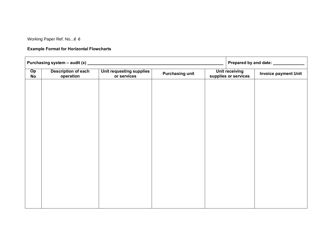Working Paper Ref. No...o o

## **Example Format for Horizontal Flowcharts**

| Purchasing system - audit (x) ___ |                                         |                                         |                        |                                               |  | Prepared by and date: _____________ |  |
|-----------------------------------|-----------------------------------------|-----------------------------------------|------------------------|-----------------------------------------------|--|-------------------------------------|--|
| Op<br><b>No</b>                   | <b>Description of each</b><br>operation | Unit requesting supplies<br>or services | <b>Purchasing unit</b> | <b>Unit receiving</b><br>supplies or services |  | <b>Invoice payment Unit</b>         |  |
|                                   |                                         |                                         |                        |                                               |  |                                     |  |
|                                   |                                         |                                         |                        |                                               |  |                                     |  |
|                                   |                                         |                                         |                        |                                               |  |                                     |  |
|                                   |                                         |                                         |                        |                                               |  |                                     |  |
|                                   |                                         |                                         |                        |                                               |  |                                     |  |
|                                   |                                         |                                         |                        |                                               |  |                                     |  |
|                                   |                                         |                                         |                        |                                               |  |                                     |  |
|                                   |                                         |                                         |                        |                                               |  |                                     |  |
|                                   |                                         |                                         |                        |                                               |  |                                     |  |
|                                   |                                         |                                         |                        |                                               |  |                                     |  |
|                                   |                                         |                                         |                        |                                               |  |                                     |  |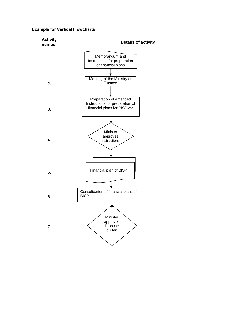## **Example for Vertical Flowcharts**

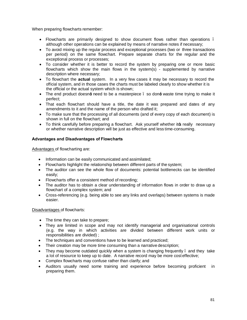When preparing flowcharts remember:

- Flowcharts are primarily designed to show document flows rather than operations. although other operations can be explained by means of narrative notes if necessary;
- · To avoid mixing up the regular process and exceptional processes (two or three transactions per period) on the same flowchart. Prepare separate charts for the regular and the exceptional process or processes;
- · To consider whether it is better to record the system by preparing one or more basic flowcharts which show the main flows in the system(s) - supplemented by narrative description where necessary;
- · To flowchart the **actual** system. In a very few cases it may be necessary to record the official system, and in those cases the charts must be labeled clearly to show whether it is the official or the actual system which is shown;
- The end product doesn $\pm$  need to be a masterpiece. so don $\pm$  waste time trying to make it perfect;
- · That each flowchart should have a title, the date it was prepared and dates of any amendments to it and the name of the person who drafted it;
- · To make sure that the processing of all documents (and of every copy of each document) is shown in full on the flowchart; and
- To think carefully before preparing a flowchart. Ask yourself whether its really necessary or whether narrative description will be just as effective and less time-consuming.

## **Advantages and Disadvantages of Flowcharts**

Advantages of flowcharting are:

- · Information can be easily communicated and assimilated;
- Flowcharts highlight the relationship between different parts of the system;
- The auditor can see the whole flow of documents: potential bottlenecks can be identified easily;
- · Flowcharts offer a consistent method of recording;
- The auditor has to obtain a clear understanding of information flows in order to draw up a flowchart of a complex system; and
- · Cross-referencing (e.g. being able to see any links and overlaps) between systems is made easier.

## Disadvantages of flowcharts:

- · The time they can take to prepare;
- They are limited in scope and may not identify managerial and organisational controls (e.g. the way in which activities are divided between different work units or responsibilities are divided) ;
- The techniques and conventions have to be learned and practiced;
- Their creation may be more time consuming than a narrative description;
- They may become outdated quickly when a system is changing frequently . and they take a lot of resource to keep up to date. A narrative record may be more cost effective;
- · Complex flowcharts may confuse rather than clarify; and
- · Auditors usually need some training and experience before becoming proficient in preparing them.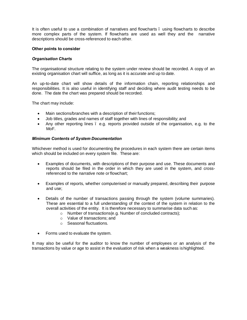It is often useful to use a combination of narratives and flowcharts – using flowcharts to describe more complex parts of the system. If flowcharts are used as well they and the narrative descriptions should be cross-referenced to each other.

#### **Other points to consider**

## *Organisation Charts*

The organisational structure relating to the system under review should be recorded. A copy of an existing organisation chart will suffice, as long as it is accurate and up to date.

An up-to-date chart will show details of the information chain, reporting relationships and responsibilities. It is also useful in identifying staff and deciding where audit testing needs to be done. The date the chart was prepared should be recorded.

The chart may include:

- Main sections/branches with a description of their functions;
- · Job titles, grades and names of staff together with lines of responsibility; and
- · Any other reporting lines e.g. reports provided outside of the organisation, e.g. to the MoF.

## *Minimum Contents of System Documentation*

Whichever method is used for documenting the procedures in each system there are certain items which should be included on every system file. These are:

- · Examples of documents, with descriptions of their purpose and use. These documents and reports should be filed in the order in which they are used in the system, and crossreferenced to the narrative note orflowchart;
- · Examples of reports, whether computerised or manually prepared, describing their purpose and use;
- · Details of the number of transactions passing through the system (volume summaries). These are essential to a full understanding of the context of the system in relation to the overall activities of the entity. It is therefore necessary to summarise data such as:
	- o Number of transactions(e.g. Number of concluded contracts);
	- ° Value of transactions; and
	- o Seasonal fluctuations.
- Forms used to evaluate the system.

It may also be useful for the auditor to know the number of employees or an analysis of the transactions by value or age to assist in the evaluation of risk when a weakness ishighlighted.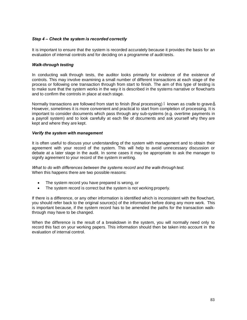## *Step 4 – Check the system is recorded correctly*

It is important to ensure that the system is recorded accurately because it provides the basis for an evaluation of internal controls and for deciding on a programme of audit tests.

## *Walk-through testing*

In conducting walk through tests, the auditor looks primarily for evidence of the existence of controls. This may involve examining a small number of different transactions at each stage of the process or following one transaction through from start to finish. The aim of this type of testing is to make sure that the system works in the way it is described in the systems narrative or flowcharts and to confirm the controls in place at each stage.

Normally transactions are followed from start to finish (final processing). known as cradle to grave. However, sometimes it is more convenient and practical to start from completion of processing. It is important to consider documents which pass through any sub-systems (e.g. overtime payments in a payroll system) and to look carefully at each file of documents and ask yourself why they are kept and where they are kept.

#### *Verify the system with management*

It is often useful to discuss your understanding of the system with management and to obtain their agreement with your record of the system. This will help to avoid unnecessary discussion or debate at a later stage in the audit. In some cases it may be appropriate to ask the manager to signify agreement to your record of the system in writing.

*What to do with differences between the systems record and the walk-through test.* When this happens there are two possible reasons:

- · The system record you have prepared is wrong, or
- · The system record is correct but the system is not working properly.

If there is a difference, or any other information is identified which is inconsistent with the flowchart, you should refer back to the original source(s) of the information before doing any more work. This is important because, if the system record has to be amended the paths for the transaction walkthrough may have to be changed.

When the difference is the result of a breakdown in the system, you will normally need only to record this fact on your working papers. This information should then be taken into account in the evaluation of internal control.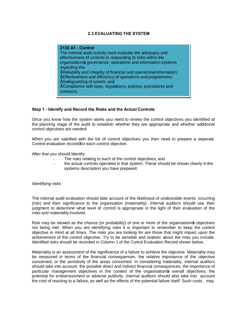## **2.3 EVALUATING THE SYSTEM**

#### **2130 A1 - Control**

The internal audit activity must evaluate the adequacy and effectiveness of controls in responding to risks within the organisation s governance, operations and information systems regarding the: • Reliability and integrity of financial and operational information; • Effectiveness and efficiency of operations and programmes;

- Safeguarding of assets; and
- Compliance with laws, regulations, policies, procedures and contracts.

#### **Step 1 - Identify and Record the Risks and the Actual Controls**

Once you know how the system works you need to review the control objectives you identified at the planning stage of the audit to establish whether they are appropriate and whether additional control objectives are needed.

When you are satisfied with the list of control objectives you then need to prepare a separate Control evaluation record±for each control objective.

After that you should identify:

- The risks relating to each of the control objectives, and
- the actual controls operated in that system. These should be shown clearly in the systems description you have prepared.

#### *Identifying risks*

The internal audit evaluation should take account of the likelihood of undesirable events occurring (risk) and their significance to the organisation (materiality). Internal auditors should use their judgment to determine what level of control is appropriate in the light of their evaluation of the risks and materiality involved.

Risk may be viewed as the chance (or probability) of one or more of the organisation **s** objectives not being met. When you are identifying risks it is important to remember to keep the control objective in mind at all times. The risks you are looking for are those that might impact upon the achievement of the control objective. Try to be sensible and realistic about the risks you include. Identified risks should be recorded in Column 1 of the Control Evaluation Record shown below.

Materiality is an assessment of the significance of a failure to achieve the objective. Materiality may be measured in terms of the financial consequences, the relative importance of the objective concerned, or the sensitivity of the areas concerned. In considering materiality, internal auditors should take into account: the possible direct and indirect financial consequences; the importance of particular management objectives in the context of the organisations overall objectives; the potential for embarrassment or adverse publicity. Internal auditors should also take into account the cost of reacting to a failure, as well as the effects of the potential failure itself. Such costs may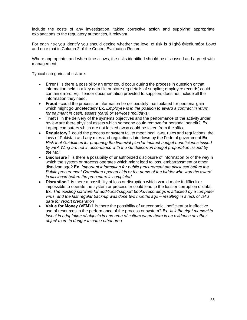include the costs of any investigation, taking corrective action and supplying appropriate explanations to the regulatory authorities, if relevant.

For each risk you identify you should decide whether the level of risk is  $\pm$ Highq  $\pm$ Mediumqor  $\pm$ ow $\pm$ and note that in Column 2 of the Control Evaluation Record.

Where appropriate, and when time allows, the risks identified should be discussed and agreed with management.

Typical categories of risk are:

- **Error** is there a possibility an error could occur during the process in question or that information held in a key data file or store (eg details of supplier; employee records) could contain errors. Eg. Tender documentation provided to suppliers does not include all the information they need.
- · **Fraud –**could the process or information be deliberately manipulated for personal gain which might go undetected? **Ex.** *Employee is in the position to award a contract in return for payment in cash, assets (cars) or services (holidays).*
- **Theft** in the delivery of the systems objectives and the performance of the activity under review are there physical assets which someone could remove for personal benefit? **Ex**. Laptop computers which are not locked away could be taken from the office
- **Regulatory** . could the process or system fail to meet local laws, rules and regulations; the laws of Pakistan and any rules and regulations laid down by the Federal government **Ex**  *Risk that Guidelines for preparing the financial plan for indirect budget beneficiaries issued by F&A Wing are not in accordance with the Guidelines on budget preparation issued by the MoF*
- · **Disclosure**  is there a possibility of unauthorized disclosure of information or of the wayin which the system or process operates which might lead to loss, embarrassment or other disadvantage? **Ex.** *Important information for public procurement are disclosed before the Public procurement Committee opened bids or the name of the bidder who won the award is disclosed before the procedure is completed*
- · **Disruption**  is there a possibility of loss or disruption which would make it difficult or impossible to operate the system or process or could lead to the loss or corruption of data. *Ex. The existing software for additional/support books-recordings is attacked by a computer virus, and the last regular back-up was done two months ago – resulting in a lack of valid data for report preparation*
- **Value for Money (VFM)** is there the possibility of uneconomic, inefficient or ineffective use of resources in the performance of the process or system? **Ex**. *Is it the right moment to invest in adaptation of objects in one area of culture when there is an evidence on other object more in danger in some other area*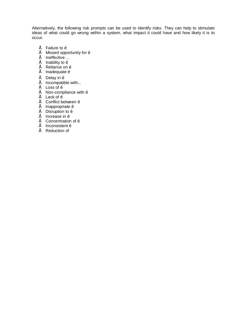Alternatively, the following risk prompts can be used to identify risks. They can help to stimulate ideas of what could go wrong within a system, what impact it could have and how likely it is to occur.

- $É$  Failure to  $\tilde{o}$
- $\acute{\mathrm{E}}$  Missed opportunity for  $\ddot{\mathrm{o}}$
- $E$  Ineffective ...
- $\acute{\mathrm{E}}$  Inability to  $\ddot{\mathrm{o}}$
- $E$  Reliance on  $\tilde{o}$
- $\acute{\mathrm{E}}$  Inadequate  $\ddot{\mathrm{o}}$
- $\acute{\mathrm{E}}$  Delay in  $\ddot{\mathrm{o}}$
- $É$  Incompatible with...
- $E$  Loss of  $\tilde{o}$
- $É$  Non-compliance with  $\ddot{o}$
- $É$  Lack of  $\tilde{o}$
- $É$  Conflict between  $\tilde{o}$
- $É$  Inappropriate  $\tilde{o}$
- $É$  Disruption to  $\delta$
- $É$  Increase in  $\ddot{o}$
- $É$  Concentration of  $\ddot{o}$
- $É$  Inconsistent  $\tilde{o}$
- $É$  Reduction of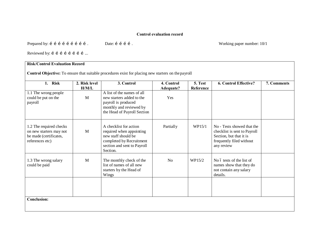## **Control evaluation record**

Prepared by: i i i i i i i i i . Date: i i i i . Working paper number: 10/1

Reviewed by: í í í í í í í í ...

## **Risk/Control Evaluation Record**

**Control Objective:** To ensure that suitable procedures exist for placing new starters on thepayroll

| <b>Risk</b><br>1.                                                                               | 2. Risk level | 3. Control                                                                                                                                       | 4. Control       | 5. Test   | 6. Control Effective?                                                                                                           | 7. Comments |
|-------------------------------------------------------------------------------------------------|---------------|--------------------------------------------------------------------------------------------------------------------------------------------------|------------------|-----------|---------------------------------------------------------------------------------------------------------------------------------|-------------|
| 1.1 The wrong people<br>could be put on the<br>payroll                                          | H/M/L<br>M    | A list of the names of all<br>new starters added to the<br>payroll is produced<br>monthly and reviewed by<br>the Head of Payroll Section         | Adequate?<br>Yes | Reference |                                                                                                                                 |             |
| 1.2 The required checks<br>on new starters may not<br>be made (certificates,<br>references etc) | M             | A checklist for action<br>required when appointing<br>new staff should be<br>completed by Recruitment<br>section and sent to Payroll<br>Section. | Partially        | WP15/1    | No - Tests showed that the<br>checklist is sent to Payroll<br>Section, but that it is<br>frequently filed without<br>any review |             |
| 1.3 The wrong salary<br>could be paid                                                           | M             | The monthly check of the<br>list of names of all new<br>starters by the Head of<br>Wings                                                         | No               | WP15/2    | No 6 tests of the list of<br>names show that they do<br>not contain any salary<br>details.                                      |             |
| <b>Conclusion:</b>                                                                              |               |                                                                                                                                                  |                  |           |                                                                                                                                 |             |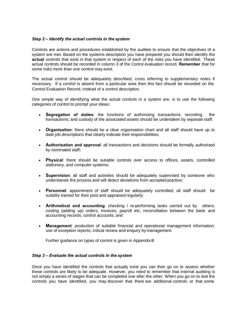## *Step 2 – Identify the actual controls in the system*

Controls are actions and procedures established by the auditee to ensure that the objectives of a system are met. Based on the systems description you have prepared you should then identify the **actual** controls that exist in that system in respect of each of the risks you have identified. These actual controls should be recorded in column 3 of the Control evaluation record. **Remember** that for some risks more than one control may exist.

The actual control should be adequately described, cross referring to supplementary notes if necessary. If a control is absent from a particular area then this fact should be recorded on the Control Evaluation Record, instead of a control description.

One simple way of identifying what the actual controls in a system are, is to use the following categories of control to prompt your ideas**:**

- · **Segregation of duties**: the functions of authorising transactions; recording the transactions; and custody of the associated assets should be undertaken by separate staff;
- · **Organisation**: there should be a clear organisation chart and all staff should have up to date job descriptions that clearly indicate their responsibilities;
- Authorisation and approval: all transactions and decisions should be formally authorised by nominated staff;
- · **Physical**: there should be suitable controls over access to offices, assets, controlled stationery, and computer systems;
- · **Supervision**: all staff and activities should be adequately supervised by someone who understands the process and will detect deviations from accepted practice;
- · **Personnel**: appointment of staff should be adequately controlled; all staff should be suitably trained for their post and appraised regularly;
- **Arithmetical and accounting:** checking / re-performing tasks carried out by others; costing (adding up) orders, invoices, payroll etc; reconciliation between the bank and accounting records; control accounts; and
- **Management**: production of suitable financial and operational management information; use of exception reports; critical review and enquiry by management.

Further guidance on types of control is given in AppendixB

## *Step 3 – Evaluate the actual controls in the system*

Once you have identified the controls that actually exist you can then go on to assess whether these controls are likely to be adequate. However, you need to remember that internal auditing is not simply a series of stages that can be completed one after the other. When you go on to test the controls you have identified, you may discover that there are additional controls or that some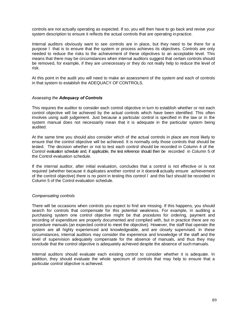controls are not actually operating as expected. If so, you will then have to go back and revise your system description to ensure it reflects the actual controls that are operating in practice.

Internal auditors obviously want to see controls are in place, but they need to be there for a purpose – that is to ensure that the system or process achieves its objectives. Controls are only needed to reduce the risks to the achievement of these objectives to an acceptable level. This means that there may be circumstances when internal auditors suggest that certain controls should be removed, for example, if they are unnecessary or they do not really help to reduce the level of risk.

At this point in the audit you will need to make an assessment of the system and each of controls in that system to establish the ADEQUACY OF CONTROLS.

#### *Assessing the Adequacy of Controls*

This requires the auditor to consider each control objective in turn to establish whether or not each control objective will be achieved by the actual controls which have been identified. This often involves using audit judgement. Just because a particular control is specified in the law or in the system manual does not necessarily mean that it is adequate in the particular system being audited.

At the same time you should also consider which of the actual controls in place are most likely to ensure that the control objective will be achieved. It is normally only those controls that should be tested. The decision whether or not to test each control should be recorded in Column 4 of the Control evaluation schedule and, if applicable, the test reference should then be recorded in Column 5 of the Control evaluation schedule.

If the internal auditor, after initial evaluation, concludes that a control is not effective or is not required (whether because it duplicates another control or it doesn $\pm$  actually ensure achievement of the control objective) there is no point in testing this control – and this fact should be recorded in Column 5 of the Control evaluation schedule.

#### *Compensating controls*

There will be occasions when controls you expect to find are missing. If this happens, you should search for controls that compensate for this potential weakness. For example, in auditing a purchasing system one control objective might be that procedures for ordering, payment and recording of expenditure are properly documented and complied with, but in practice there are no procedure manuals (an expected control to meet the objective). However, the staff that operate the system are all highly experienced and knowledgeable, and are closely supervised. In these circumstances, internal auditors may consider the experience and knowledge of the staff and the level of supervision adequately compensate for the absence of manuals, and thus they may conclude that the control objective is adequately achieved despite the absence of such manuals.

Internal auditors should evaluate each existing control to consider whether it is adequate. In addition, they should evaluate the whole spectrum of controls that may help to ensure that a particular control objective is achieved.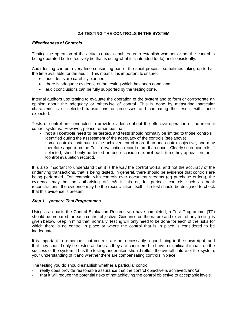## **2.4 TESTING THE CONTROLS IN THE SYSTEM**

## *Effectiveness of Controls*

Testing the operation of the actual controls enables us to establish whether or not the control is being operated both effectively (ie that is doing what it is intended to do) and consistently.

Audit testing can be a very time-consuming part of the audit process, sometimes taking up to half the time available for the audit. This means it is important to ensure:

- audit tests are carefully planned
- there is adequate evidence of the testing which has been done, and
- audit conclusions can be fully supported by the testing done.

Internal auditors use testing to evaluate the operation of the system and to form or corroborate an opinion about the adequacy or otherwise of control. This is done by measuring particular characteristics of selected transactions or processes and comparing the results with those expected.

Tests of control are conducted to provide evidence about the effective operation of the internal control systems. However, please remember that:

- **not all controls need to be tested**, and tests should normally be limited to those controls identified during the assessment of the adequacy of the controls (see above)
- some controls contribute to the achievement of more than one control objective, and may therefore appear on the Control evaluation record more than once. Clearly such controls, if selected, should only be tested on one occasion (i.e. **not** each time they appear on the control evaluation record $\pm$ .

It is also important to understand that it is the way the control works, and not the accuracy of the underlying transactions, that is being tested. In general, there should be evidence that controls are being performed. For example: with controls over document streams (eg purchase orders), the evidence may be the authorising officers initials or, for periodic controls such as bank reconciliations, the evidence may be the reconciliation itself. The test should be designed to check that this evidence is present.

#### *Step 1 – prepare Test Programmes*

Using as a basis the Control Evaluation Records you have completed, a Test Programme (TP) should be prepared for each control objective. Guidance on the nature and extent of any testing is given below. Keep in mind that, normally, testing will only need to be done for each of the risks for which there is no control in place or where the control that is in place is considered to be inadequate.

It is important to remember that controls are not necessarily a good thing in their own right, and that they should only be tested as long as they are considered to have a significant impact on the success of the system. Thus the testing undertaken should reflect the overall nature of the system, your understanding of it and whether there are compensating controls in place.

The testing you do should establish whether a particular control:

- really does provide reasonable assurance that the control objective is achieved, and/or
- that it will reduce the potential risks of not achieving the control objective to acceptable levels.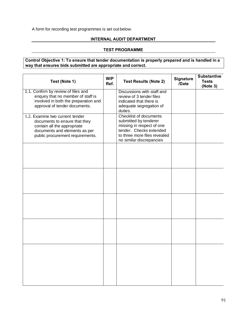# A form for recording test programmes is set out below.

# **INTERNAL AUDIT DEPARTMENT**

# **TEST PROGRAMME**

# **Control Objective 1: To ensure that tender documentation is properly prepared and is handled in a way that ensures bids submitted are appropriate and correct.**

| Test (Note 1)                                                                                                                                                        | W/P<br>Ref. | <b>Test Results (Note 2)</b>                                                                                                                                        | <b>Signature</b><br>/Date | <b>Substantive</b><br><b>Tests</b><br>(Note 3) |
|----------------------------------------------------------------------------------------------------------------------------------------------------------------------|-------------|---------------------------------------------------------------------------------------------------------------------------------------------------------------------|---------------------------|------------------------------------------------|
| 1.1. Confirm by review of files and<br>enquiry that no member of staff is<br>involved in both the preparation and<br>approval of tender documents.                   |             | Discussions with staff and<br>review of 3 tender files<br>indicated that there is<br>adequate segregation of<br>duties.                                             |                           |                                                |
| 1.2. Examine two current tender<br>documents to ensure that they<br>contain all the appropriate<br>documents and elements as per<br>public procurement requirements. |             | Checklist of documents<br>submitted by tenderer<br>missing in respect of one<br>tender. Checks extended<br>to three more files revealed<br>no similar discrepancies |                           |                                                |
|                                                                                                                                                                      |             |                                                                                                                                                                     |                           |                                                |
|                                                                                                                                                                      |             |                                                                                                                                                                     |                           |                                                |
|                                                                                                                                                                      |             |                                                                                                                                                                     |                           |                                                |
|                                                                                                                                                                      |             |                                                                                                                                                                     |                           |                                                |
|                                                                                                                                                                      |             |                                                                                                                                                                     |                           |                                                |
|                                                                                                                                                                      |             |                                                                                                                                                                     |                           |                                                |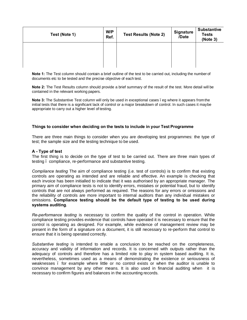| Test (Note 1) | W/P<br>Ref. | <b>Test Results (Note 2)</b> | <b>Signature</b><br>/Date | <b>Substantive</b><br><b>Tests</b><br>(Note 3) |
|---------------|-------------|------------------------------|---------------------------|------------------------------------------------|
|               |             |                              |                           |                                                |
|               |             |                              |                           |                                                |

**Note 1:** The Test column should contain a brief outline of the test to be carried out, including the number of documents etc to be tested and the precise objective of each test.

**Note 2:** The Test Results column should provide a brief summary of the result of the test. More detail will be contained in the relevant working papers.

**Note 3:** The Substantive Test column will only be used in exceptional cases . eg where it appears from the initial tests that there is a significant lack of control or a major breakdown of control. In such cases it maybe appropriate to carry out a higher level of testing.

### **Things to consider when deciding on the tests to include in your Test Programme**

There are three main things to consider when you are developing test programmes: the type of test; the sample size and the testing technique to be used.

#### **A - Type of test**

The first thing is to decide on the type of test to be carried out. There are three main types of testing – compliance, re-performance and substantive testing.

*Compliance testing* The aim of compliance testing (i.e. test of controls) is to confirm that existing controls are operating as intended and are reliable and effective. An example is checking that each invoice has been initialled to indicate that it was authorised by an appropriate manager. The primary aim of compliance tests is not to identify errors, mistakes or potential fraud, but to identify controls that are not always performed as required. The reasons for any errors or omissions and the reliability of controls are more important to internal auditors than any individual mistakes or omissions. **Compliance testing should be the default type of testing to be used during systems auditing**.

*Re-performance testing* is necessary to confirm the quality of the control in operation. While compliance testing provides evidence that controls have operated it is necessary to ensure that the control is operating as designed. For example, while evidence of management review may be present in the form of a signature on a document, it is still necessary to re-perform that control to ensure that it is being operated correctly.

*Substantive testing* is intended to enable a conclusion to be reached on the completeness, accuracy and validity of information and records. It is concerned with outputs rather than the adequacy of controls and therefore has a limited role to play in system based auditing. It is, nevertheless, sometimes used as a means of demonstrating the existence or seriousness of weaknesses – for example where little or no control exists or when the auditor is unable to convince management by any other means. It is also used in financial auditing when it is necessary to confirm figures and balances in the accounting records.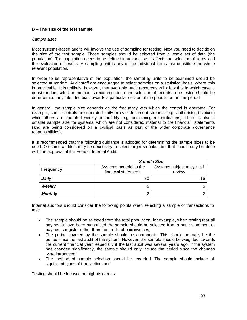# **B – The size of the test sample**

### *Sample sizes*

Most systems-based audits will involve the use of sampling for testing. Next you need to decide on the size of the test sample. Those samples should be selected from a whole set of data (the population). The population needs to be defined in advance as it affects the selection of items and the evaluation of results. A sampling unit is any of the individual items that constitute the whole relevant population.

In order to be representative of the population, the sampling units to be examined should be selected at random. Audit staff are encouraged to select samples on a statistical basis, where this is practicable. It is unlikely, however, that available audit resources will allow this in which case a quasi-random selection method is recommended – the selection of records to be tested should be done without any intended bias towards a particular section of the population or time period.

In general, the sample size depends on the frequency with which the control is operated. For example, some controls are operated daily or over document streams (e.g. authorising invoices) while others are operated weekly or monthly (e.g. performing reconciliations). There is also a smaller sample size for systems, which are not considered material to the financial statements (and are being considered on a cyclical basis as part of the wider corporate governance responsibilities).

It is recommended that the following guidance is adopted for determining the sample sizes to be used. On some audits it may be necessary to select larger samples, but that should only be done with the approval of the Head of Internal Audit.

|                  | <b>Sample Size</b>                              |                                       |  |  |  |
|------------------|-------------------------------------------------|---------------------------------------|--|--|--|
| <b>Frequency</b> | Systems material to the<br>financial statements | Systems subject to cyclical<br>review |  |  |  |
| <b>Daily</b>     | 30                                              | 15                                    |  |  |  |
| <b>Weekly</b>    | 5                                               |                                       |  |  |  |
| <b>Monthly</b>   | ◠                                               |                                       |  |  |  |

Internal auditors should consider the following points when selecting a sample of transactions to test:

- · The sample should be selected from the total population, for example, when testing that all payments have been authorised the sample should be selected from a bank statement or payments register rather than from a file of paid invoices;
- The period covered by the sample should be appropriate. This should normally be the period since the last audit of the system. However, the sample should be weighted towards the current financial year, especially if the last audit was several years ago. If the system has changed significantly, the sample should only include the period since the changes were introduced;
- The method of sample selection should be recorded. The sample should include all significant types of transaction; and

Testing should be focused on high-risk areas.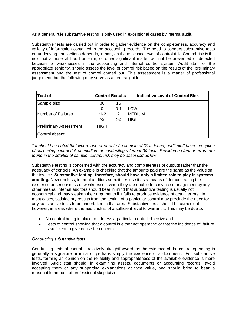As a general rule substantive testing is only used in exceptional cases by internal audit.

Substantive tests are carried out in order to gather evidence on the completeness, accuracy and validity of information contained in the accounting records. The need to conduct substantive tests on underlying transactions depends, in part, on the assessed level of control risk. Control risk is the risk that a material fraud or error, or other significant matter will not be prevented or detected because of weaknesses in the accounting and internal control system. Audit staff, of the appropriate seniority, should assess the level of control risk based on the results of the preliminary assessment and the test of control carried out. This assessment is a matter of professional judgement, but the following may serve as a general guide:

| Test of                       |             | <b>Control Results</b> | Indicative Level of Control Risk |
|-------------------------------|-------------|------------------------|----------------------------------|
| Sample size                   | 30          | 15                     |                                  |
|                               | 0           | $0 - 1$                | LOW                              |
| Number of Failures            | $*1-2$      | 2                      | <b>MEDIUM</b>                    |
|                               | >2          | >2                     | <b>HIGH</b>                      |
| <b>Preliminary Assessment</b> | <b>HIGH</b> |                        |                                  |
| Control absent                |             |                        |                                  |

*\* It should be noted that where one error out of a sample of 30 is found, audit staff have the option of assessing control risk as medium or conducting a further 30 tests. Provided no further errors are found in the additional sample, control risk may be assessed as low*.

Substantive testing is concerned with the accuracy and completeness of outputs rather than the adequacy of controls. An example is checking that the amounts paid are the same as the value on the invoice. **Substantive testing, therefore, should have only a limited role to play in systems auditing.** Nevertheless, internal auditors sometimes use it as a means of demonstrating the existence or seriousness of weaknesses, when they are unable to convince management by any other means. Internal auditors should bear in mind that substantive testing is usually not economical and may weaken their arguments if it fails to produce evidence of actual errors. In most cases, satisfactory results from the testing of a particular control may preclude the need for any substantive tests to be undertaken in that area. Substantive tests should be carried out, however, in areas where the audit risk is of a sufficient level to warrant it. This may be due to:

- No control being in place to address a particular control objective and
- · Tests of control showing that a control is either not operating or that the incidence of failure is sufficient to give cause for concern.

# *Conducting substantive tests*

Conducting tests of control is relatively straightforward, as the evidence of the control operating is generally a signature or initial or perhaps simply the existence of a document. For substantive tests, forming an opinion on the reliability and appropriateness of the available evidence is more involved. Audit staff should, in examining assets, documents or accounting records, avoid accepting them or any supporting explanations at face value, and should bring to bear a reasonable amount of professional skepticism.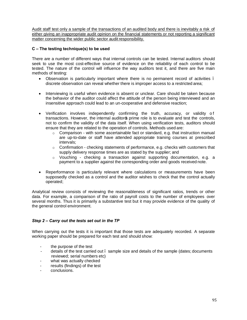Audit staff test only a sample of the transactions of an audited body and there is inevitably a risk of either giving an inappropriate audit opinion on the financial statements or not reporting a significant matter concerning the wider public sector audit responsibility.

# **C – The testing technique(s) to be used**

There are a number of different ways that internal controls can be tested. Internal auditors should seek to use the most cost-effective source of evidence on the reliability of each control to be tested. The nature of the control will influence the way auditors test it, and there are five main methods of testing:

- · Observation is particularly important where there is no permanent record of activities discrete observation can reveal whether there is improper access to a restricted area;
- Interviewing is useful when evidence is absent or unclear. Care should be taken because the behavior of the auditor could affect the attitude of the person being interviewed and an insensitive approach could lead to an un-cooperative and defensive reaction;
- Verification involves independently confirming the truth, accuracy, or validity of transactions. However, the internal auditors prime role is to evaluate and test the controls, not to confirm the validity of the data itself. When using verification tests, auditors should ensure that they are related to the operation of controls. Methods used are:
	- $\circ$  Comparison with some ascertainable fact or standard, e.g. that instruction manual are up-to-date or staff have attended appropriate training courses at prescribed intervals;
	- $\circ$  Confirmation checking statements of performance, e.g. checks with customers that supply delivery response times are as stated by the supplier; and
	- o Vouching checking a transaction against supporting documentation, e.g. a payment to a supplier against the corresponding order and goods received note.
- Reperformance is particularly relevant where calculations or measurements have been supposedly checked as a control and the auditor wishes to check that the control actually operated;

Analytical review consists of reviewing the reasonableness of significant ratios, trends or other data. For example, a comparison of the ratio of payroll costs to the number of employees over several months. Thus it is primarily a substantive test but it may provide evidence of the quality of the general control environment.

# *Step 2 – Carry out the tests set out in the TP*

When carrying out the tests it is important that those tests are adequately recorded. A separate working paper should be prepared for each test and should show:

- the purpose of the test
- details of the test carried out . sample size and details of the sample (dates; documents reviewed; serial numbers etc)
- what was actually checked
- results (findings) of the test
- conclusions.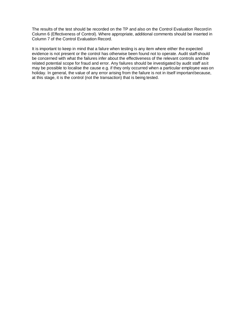The results of the test should be recorded on the TP and also on the Control Evaluation Record in Column 6 (Effectiveness of Control). Where appropriate, additional comments should be inserted in Column 7 of the Control Evaluation Record.

It is important to keep in mind that a failure when testing is any item where either the expected evidence is not present or the control has otherwise been found not to operate. Audit staff should be concerned with what the failures infer about the effectiveness of the relevant controls and the related potential scope for fraud and error. Any failures should be investigated by audit staff asit may be possible to localise the cause e.g. if they only occurred when a particular employee was on holiday. In general, the value of any error arising from the failure is not in itself importantbecause, at this stage, it is the control (not the transaction) that is being tested.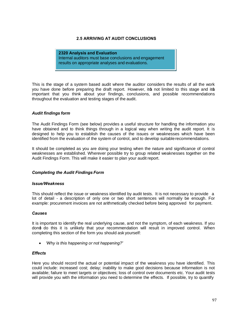# **2.5 ARRIVING AT AUDIT CONCLUSIONS**

**2320 Analysis and Evaluation** Internal auditors must base conclusions and engagement results on appropriate analyses and evaluations.

This is the stage of a system based audit where the auditor considers the results of all the work you have done before preparing the draft report. However, its not limited to this stage and its important that you think about your findings, conclusions, and possible recommendations throughout the evaluation and testing stages of the audit.

### *Audit findings form*

The Audit Findings Form (see below) provides a useful structure for handling the information you have obtained and to think things through in a logical way when writing the audit report. It is designed to help you to establish the causes of the issues or weaknesses which have been identified from the evaluation of the system of control, and to develop suitable recommendations.

It should be completed as you are doing your testing when the nature and significance of control weaknesses are established. Wherever possible try to group related weaknesses together on the Audit Findings Form. This will make it easier to plan your audit report.

#### *Completing the Audit Findings Form*

#### *Issue/Weakness*

This should reflect the issue or weakness identified by audit tests. It is not necessary to provide a lot of detail - a description of only one or two short sentences will normally be enough. For example: procurement invoices are not arithmetically checked before being approved for payment.

#### *Causes*

It is important to identify the real underlying cause, and not the symptom, of each weakness. If you don't do this it is unlikely that your recommendation will result in improved control. When completing this section of the form you should ask yourself:

· *'Why is this happening or not happening?'*

### *Effects*

Here you should record the actual or potential impact of the weakness you have identified. This could include: increased cost; delay; inability to make good decisions because information is not available; failure to meet targets or objectives; loss of control over documents etc. Your audit tests will provide you with the information you need to determine the effects. If possible, try to quantify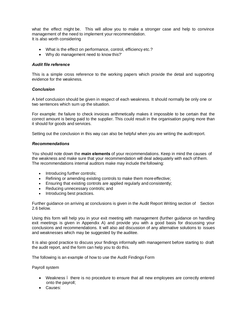what the effect might be. This will allow you to make a stronger case and help to convince management of the need to implement your recommendation. It is also worth considering

- What is the effect on performance, control, efficiency etc.?
- · Why do management need to know this?'

#### *Audit file reference*

This is a simple cross reference to the working papers which provide the detail and supporting evidence for the weakness.

# *Conclusion*

A brief conclusion should be given in respect of each weakness. It should normally be only one or two sentences which sum up the situation.

For example: the failure to check invoices arithmetically makes it impossible to be certain that the correct amount is being paid to the supplier. This could result in the organisation paying more than it should for goods and services.

Setting out the conclusion in this way can also be helpful when you are writing the auditreport.

#### *Recommendations*

You should note down the **main elements** of your recommendations. Keep in mind the causes of the weakness and make sure that your recommendation will deal adequately with each of them. The recommendations internal auditors make may include the following:

- Introducing further controls;
- · Refining or amending existing controls to make them more effective;
- Ensuring that existing controls are applied regularly and consistently;
- Reducing unnecessary controls; and
- · Introducing best practices.

Further guidance on arriving at conclusions is given in the Audit Report Writing section of Section 2.6 below.

Using this form will help you in your exit meeting with management (further guidance on handling exit meetings is given in Appendix A) and provide you with a good basis for discussing your conclusions and recommendations. It will also aid discussion of any alternative solutions to issues and weaknesses which may be suggested by the auditee.

It is also good practice to discuss your findings informally with management before starting to draft the audit report, and the form can help you to do this.

The following is an example of how to use the Audit Findings Form

Payroll system

- · Weakness there is no procedure to ensure that all new employees are correctly entered onto the payroll;
- · Causes: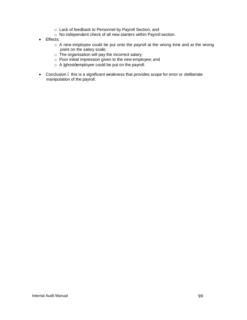- o Lack of feedback to Personnel by Payroll Section, and
- o No independent check of all new starters within Payroll section.
- · Effects:
	- o A new employee could be put onto the payroll at the wrong time and at the wrong point on the salary scale;
	- o The organisation will pay the incorrect salary;
	- o Poor initial impression given to the new employee; and
	- $\circ$  A ghost $\pm$ employee could be put on the payroll.
- · Conclusion this is a significant weakness that provides scope for error or deliberate manipulation of the payroll.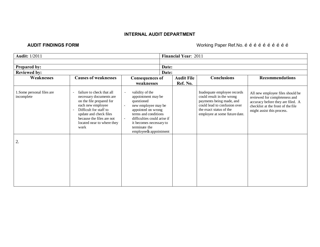# **INTERNAL AUDIT DEPARTMENT**

# **AUDIT FINDINGS FORM AUDIT FINDINGS FORM MULLER METAL CONSTRUSS AND ACCOUNT ACCOUNT ACCOUNT ACCOUNT ACCOUNT ACCOUNT ACCOUNT ACCOUNT ACCOUNT ACCOUNT ACCOUNT ACCOUNT ACCOUNT ACCOUNT ACCOUNT ACCOUNT ACCOUNT ACCOUNT ACCO**

| <b>Audit: 1/2011</b>                       |                                                                                                                                                                                                                              |                                                                                                                                                                                                                                                                                    |                | Financial Year: 2011          |                                                                                                                                                                                  |                                                                                                                                                                            |
|--------------------------------------------|------------------------------------------------------------------------------------------------------------------------------------------------------------------------------------------------------------------------------|------------------------------------------------------------------------------------------------------------------------------------------------------------------------------------------------------------------------------------------------------------------------------------|----------------|-------------------------------|----------------------------------------------------------------------------------------------------------------------------------------------------------------------------------|----------------------------------------------------------------------------------------------------------------------------------------------------------------------------|
| <b>Prepared by:</b><br><b>Reviewed by:</b> |                                                                                                                                                                                                                              |                                                                                                                                                                                                                                                                                    | Date:<br>Date: |                               |                                                                                                                                                                                  |                                                                                                                                                                            |
| Weaknesses                                 | <b>Causes of weaknesses</b>                                                                                                                                                                                                  | <b>Consequences of</b><br>weaknesses                                                                                                                                                                                                                                               |                | <b>Audit File</b><br>Ref. No. | <b>Conclusions</b>                                                                                                                                                               | <b>Recommendations</b>                                                                                                                                                     |
| 1. Some personal files are<br>incomplete   | failure to check that all<br>necessary documents are<br>on the file prepared for<br>each new employee<br>Difficult for staff to<br>update and check files<br>because the files are not<br>located near to where they<br>work | validity of the<br>$\blacksquare$<br>appointment may be<br>questioned<br>new employee may be<br>$\blacksquare$<br>appointed on wrong<br>terms and conditions<br>difficulties could arise if<br>$\blacksquare$<br>it becomes necessary to<br>terminate the<br>employees appointment |                |                               | Inadequate employee records<br>could result in the wrong<br>payments being made, and<br>could lead to confusion over<br>the exact status of the<br>employee at some future date. | All new employee files should be<br>reviewed for completeness and<br>accuracy before they are filed. A<br>checklist at the front of the file<br>might assist this process. |
| 2.                                         |                                                                                                                                                                                                                              |                                                                                                                                                                                                                                                                                    |                |                               |                                                                                                                                                                                  |                                                                                                                                                                            |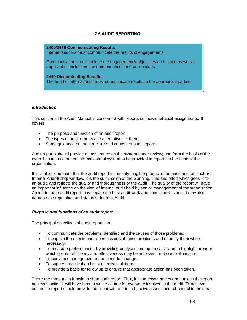# **2.6 AUDIT REPORTING**

#### **2400/2410 Communicating Results**

Internal auditors must communicate the results of engagements.

Communications must include the engagements objectives and scope as well as applicable conclusions, recommendations and action plans.

**2440 Disseminating Results** The head of internal audit must communicate results to the appropriate parties.

# *Introduction*

This section of the Audit Manual is concerned with reports on individual audit assignments. It covers:

- · The purpose and function of an audit report;
- · The types of audit reports and alternatives to them;
- Some guidance on the structure and content of audit reports.

Audit reports should provide an assurance on the system under review; and form the basis of the overall assurance on the internal control system to be provided in reports to the head of the organisation.

It is vital to remember that the audit report is the only tangible product of an audit and, as such, is Internal Audits shop window. It is the culmination of the planning, time and effort which goes in to an audit, and reflects the quality and thoroughness of the audit. The quality of the report willhave an important influence on the view of internal audit held by senior management of theorganisation. An inadequate audit report may negate the best audit work and finest conclusions. It may also damage the reputation and status of Internal Audit.

# *Purpose and functions of an audit report*

The principal objectives of audit reports are:

- · To communicate the problems identified and the causes of those problems;
- · To explain the effects and repercussions of those problems and quantify them where necessary;
- · To measure performance by providing analyses and appraisals and to highlight areas in which greater efficiency and effectiveness may be achieved, and waste eliminated;
- · To convince management of the need for change;
- · To suggest practical and cost effective solutions;
- · To provide a basis for follow up to ensure that appropriate action has been taken.

There are three main functions of an audit report. First, it is an *action document* - unless the report achieves action it will have been a waste of time for everyone involved in the audit. To achieve action the report should provide the client with a brief, objective assessment of control in the area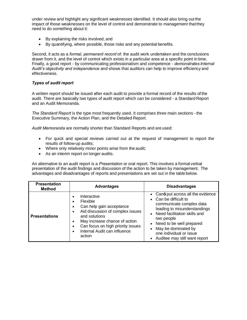under review and highlight any significant weaknesses identified. It should also bring out the impact of those weaknesses on the level of control and demonstrate to management that they need to do something about it:

- · By explaining the risks involved, and
- · By quantifying, where possible, those risks and any potential benefits.

Second, it acts as a *formal, permanent record* of: the audit work undertaken and the conclusions drawn from it, and the level of control which exists in a particular area at a specific point in time. Finally, a good report - by communicating professionalism and competence - *demonstrates Internal Audit's objectivity and independence* and shows that auditors can help to improve efficiency and effectiveness.

# *Types of audit report*

A written report should be issued after each audit to provide a formal record of the results of the audit. There are basically two types of audit report which can be considered - a Standard Report and an Audit Memoranda.

*The Standard Report* is the type most frequently used. It comprises three main sections - the Executive Summary, the Action Plan, and the Detailed Report.

*Audit Memoranda* are normally shorter than Standard Reports and are used:

- · For quick and special reviews carried out at the request of management to report the results of follow-up audits;
- · Where only relatively minor points arise from the audit;
- · As an interim report on longer audits.

An alternative to an audit report is a *Presentation* or oral report. This involves a formal verbal presentation of the audit findings and discussion of the action to be taken by management. The advantages and disadvantages of reports and presentations are set out in the table below.

| <b>Presentation</b><br><b>Method</b> | <b>Advantages</b>                                                                                                                                                                                                                                               | <b>Disadvantages</b>                                                                                                                                                                                                                                                               |
|--------------------------------------|-----------------------------------------------------------------------------------------------------------------------------------------------------------------------------------------------------------------------------------------------------------------|------------------------------------------------------------------------------------------------------------------------------------------------------------------------------------------------------------------------------------------------------------------------------------|
| <b>Presentations</b>                 | Interactive<br>Flexible<br>Can help gain acceptance<br>$\bullet$<br>Aid discussion of complex issues<br>$\bullet$<br>and solutions<br>May increase chance of action<br>$\bullet$<br>Can focus on high priority issues<br>Internal Audit can influence<br>action | • Can± put across all the evidence<br>Can be difficult to<br>communicate complex data<br>leading to misunderstandings<br>Need facilitation skills and<br>two people<br>Need to be well prepared<br>May be dominated by<br>one individual or issue<br>Auditee may still want report |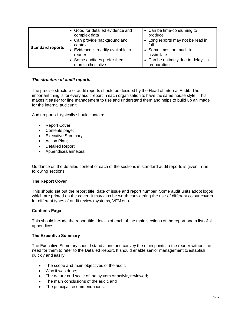| <b>Standard reports</b> | • Good for detailed evidence and<br>complex data<br>• Can provide background and<br>context<br>Evidence is readily available to<br>$\bullet$<br>reader<br>• Some auditees prefer them -<br>more authoritative | • Can be time-consuming to<br>produce<br>• Long reports may not be read in<br>full<br>• Sometimes too much to<br>assimilate<br>• Can be untimely due to delays in<br>preparation |
|-------------------------|---------------------------------------------------------------------------------------------------------------------------------------------------------------------------------------------------------------|----------------------------------------------------------------------------------------------------------------------------------------------------------------------------------|

# *The structure of audit reports*

The precise structure of audit reports should be decided by the Head of Internal Audit. The important thing is for every audit report in each organisation to have the same house style. This makes it easier for line management to use and understand them and helps to build up an image for the internal audit unit.

Audit reports – typically should contain:

- · Report Cover;
- · Contents page;
- · Executive Summary;
- · Action Plan;
- · Detailed Report;
- · Appendices/annexes.

Guidance on the detailed content of each of the sections in standard audit reports is given in the following sections.

# **The Report Cover**

This should set out the report title, date of issue and report number. Some audit units adopt logos which are printed on the cover. It may also be worth considering the use of different colour covers for different types of audit review (systems, VFM etc).

# **Contents Page**

This should include the report title, details of each of the main sections of the report and a list of all appendices.

# **The Executive Summary**

The Executive Summary should stand alone and convey the main points to the reader without the need for them to refer to the Detailed Report. It should enable senior management to establish quickly and easily:

- The scope and main objectives of the audit;
- · Why it was done;
- · The nature and scale of the system or activity reviewed;
- · The main conclusions of the audit, and
- · The principal recommendations.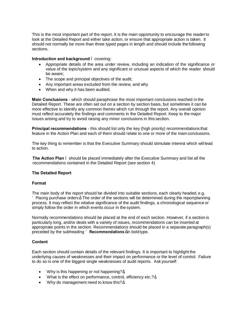This is the most important part of the report**.** It is the main opportunity to encourage the readerto look at the Detailed Report and either take action, or ensure that appropriate action is taken. It should not normally be more than three typed pages in length and should include the following sections.

### **Introduction and background** . covering:

- Appropriate details of the area under review, including an indication of the significance or value of the topic/system and any significant or unusual aspects of which the reader should be aware;
- · The scope and principal objectives of the audit;
- · Any important areas excluded from the review, and why
- · When and why it has been audited.

**Main Conclusions** - which should paraphrase the most important conclusions reached in the Detailed Report. These are often set out on a section by section basis, but sometimes it can be more effective to identify any common themes which run through the report. Any overall opinion must reflect accurately the findings and comments in the Detailed Report. Keep to the major issues arising and try to avoid raising any minor conclusions in this section.

**Principal recommendations** - this should list only the key (high priority) recommendations that feature in the Action Plan and each of them should relate to one or more of the main conclusions.

The key thing to remember is that the Executive Summary should stimulate interest which will lead to action.

**The Action Plan** – should be placed immediately after the Executive Summary and list all the recommendations contained in the Detailed Report (see section 4)

# **The Detailed Report**

#### **Format**

The main body of the report should be divided into suitable sections, each clearly headed, e.g. Placing purchase orders . The order of the sections will be determined during the reportplanning process. It may reflect the relative significance of the audit findings, a chronological sequence or simply follow the order in which events occur in the system.

Normally recommendations should be placed at the end of each section. However, if a section is particularly long, and/or deals with a variety of issues, recommendations can be inserted at appropriate points in the section. Recommendations should be placed in a separate paragraph(s) preceded by the subheading **Recommendations** in boldtype.

#### **Content**

Each section should contain details of the relevant findings. It is important to highlight the underlying causes of weaknesses and their impact on performance or the level of control. Failure to do so is one of the biggest single weaknesses of audit reports. Ask yourself:

- · Why is this happening or not happening? ;
- · What is the effect on performance, control, efficiency etc.? ;
- · Why do management need to know this? .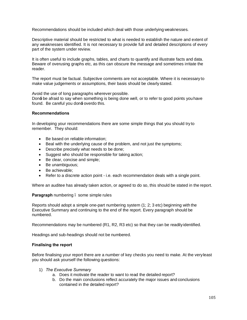Recommendations should be included which deal with those underlying weaknesses.

Descriptive material should be restricted to what is needed to establish the nature and extent of any weaknesses identified. It is not necessary to provide full and detailed descriptions of every part of the system under review.

It is often useful to include graphs, tables, and charts to quantify and illustrate facts and data. Beware of overusing graphs etc, as this can obscure the message and sometimes irritate the reader.

The report must be factual. Subjective comments are not acceptable. Where it is necessary to make value judgements or assumptions, their basis should be clearly stated.

Avoid the use of long paragraphs wherever possible.

Don± be afraid to say when something is being done well, or to refer to good points you have found. Be careful you don $\pm$  overdo this.

#### **Recommendations**

In developing your recommendations there are some simple things that you should try to remember. They should:

- Be based on reliable information:
- Beal with the underlying cause of the problem, and not just the symptoms;
- · Describe precisely what needs to be done;
- Suggest who should be responsible for taking action;
- Be clear, concise and simple;
- · Be unambiguous;
- · Be achievable;
- · Refer to a discrete action point i.e. each recommendation deals with a single point.

Where an auditee has already taken action, or agreed to do so, this should be stated in the report.

#### **Paragraph** numbering – some simple rules

Reports should adopt a simple one-part numbering system (1; 2; 3 etc) beginning with the Executive Summary and continuing to the end of the report. Every paragraph should be numbered.

Recommendations may be numbered (R1, R2, R3 etc) so that they can be readily identified.

Headings and sub-headings should not be numbered.

#### **Finalising the report**

Before finalising your report there are a number of key checks you need to make. At the veryleast you should ask yourself the following questions:

- 1) *The Executive Summary*
	- a. Does it motivate the reader to want to read the detailed report?
	- b. Do the main conclusions reflect accurately the major issues and conclusions contained in the detailed report?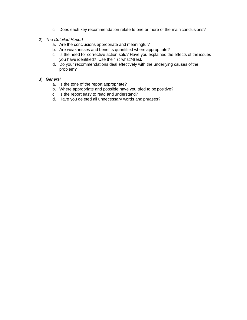- c. Does each key recommendation relate to one or more of the main conclusions?
- 2) *The Detailed Report*
	- a. Are the conclusions appropriate and meaningful?
	- b. Are weaknesses and benefits quantified where appropriate?
	- c. Is the need for corrective action sold? Have you explained the effects of the issues you have identified? Use the so what? test.
	- d. Do your recommendations deal effectively with the underlying causes of the problem?
- 3) *General*
	- a. Is the tone of the report appropriate?
	- b. Where appropriate and possible have you tried to be positive?
	- c. Is the report easy to read and understand?
	- d. Have you deleted all unnecessary words and phrases?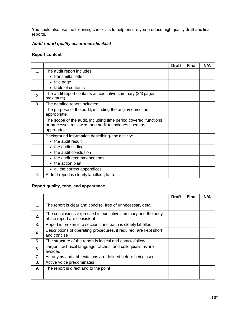You could also use the following checklists to help ensure you produce high quality draft and final reports.

# *Audit report quality assurance checklist*

# **Report content**

|    |                                                                                                                                         | <b>Draft</b> | <b>Final</b> | N/A |
|----|-----------------------------------------------------------------------------------------------------------------------------------------|--------------|--------------|-----|
| 1. | The audit report includes:                                                                                                              |              |              |     |
|    | • transmittal letter                                                                                                                    |              |              |     |
|    | • title page                                                                                                                            |              |              |     |
|    | • table of contents                                                                                                                     |              |              |     |
| 2. | The audit report contains an executive summary (2/3 pages<br>maximum)                                                                   |              |              |     |
| 3. | The detailed report includes:                                                                                                           |              |              |     |
|    | The purpose of the audit, including the origin/source, as<br>appropriate                                                                |              |              |     |
|    | The scope of the audit, including time period covered, functions<br>or processes reviewed, and audit techniques used, as<br>appropriate |              |              |     |
|    | Background information describing- the activity:                                                                                        |              |              |     |
|    | • the audit result                                                                                                                      |              |              |     |
|    | • the audit finding                                                                                                                     |              |              |     |
|    | • the audit conclusion                                                                                                                  |              |              |     |
|    | • the audit recommendations                                                                                                             |              |              |     |
|    | • the action plan                                                                                                                       |              |              |     |
|    | • all the correct appendices                                                                                                            |              |              |     |
| 4. | A draft report is clearly labelled draft+                                                                                               |              |              |     |

# **Report quality, tone, and appearance**

|                |                                                                                             | <b>Draft</b> | <b>Final</b> | N/A |
|----------------|---------------------------------------------------------------------------------------------|--------------|--------------|-----|
| 1.             | The report is clear and concise, free of unnecessary detail                                 |              |              |     |
| 2.             | The conclusions expressed in executive summary and the body<br>of the report are consistent |              |              |     |
| 3.             | Report is broken into sections and each is clearly labelled                                 |              |              |     |
| $\mathbf{4}$ . | Descriptions of operating procedures, if required, are kept short<br>and concise            |              |              |     |
| 5.             | The structure of the report is logical and easy to follow                                   |              |              |     |
| 6.             | Jargon, technical language, clichés, and colloquialisms are<br>avoided                      |              |              |     |
| 7.             | Acronyms and abbreviations are defined before being used                                    |              |              |     |
| 8.             | Active voice predominates                                                                   |              |              |     |
| 9.             | The report is direct and to the point                                                       |              |              |     |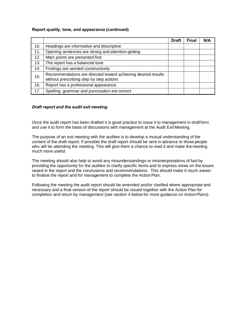# **Report quality, tone, and appearance (continued)**

|     |                                                                                                           | <b>Draft</b> | <b>Final</b> | N/A |
|-----|-----------------------------------------------------------------------------------------------------------|--------------|--------------|-----|
| 10. | Headings are informative and descriptive                                                                  |              |              |     |
| 11. | Opening sentences are strong and attention-getting                                                        |              |              |     |
| 12. | Main points are presented first                                                                           |              |              |     |
| 13. | The report has a balanced tone                                                                            |              |              |     |
| 14. | Findings are worded constructively                                                                        |              |              |     |
| 15. | Recommendations are directed toward achieving desired results<br>without prescribing step by step actions |              |              |     |
| 16. | Report has a professional appearance                                                                      |              |              |     |
| 17. | Spelling , grammar and punctuation are correct                                                            |              |              |     |

# *Draft report and the audit exit meeting*

Once the audit report has been drafted it is good practice to issue it to management in draftform and use it to form the basis of discussions with management at the Audit Exit Meeting.

The purpose of an exit meeting with the auditee is to develop a mutual understanding of the content of the draft report. If possible the draft report should be sent in advance to those people who will be attending the meeting. This will give them a chance to read it and make the meeting much more useful.

The meeting should also help to avoid any misunderstandings or misinterpretations of fact by providing the opportunity for the auditee to clarify specific items and to express views on the issues raised in the report and the conclusions and recommendations. This should make it much easier to finalise the report and for management to complete the Action Plan.

Following the meeting the audit report should be amended and/or clarified where appropriate and necessary and a final version of the report should be issued together with the Action Plan for completion and return by management (see section 4 below for more guidance on ActionPlans).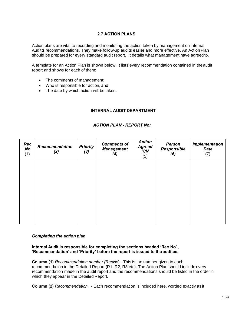# **2.7 ACTION PLANS**

Action plans are vital to recording and monitoring the action taken by management on Internal Audits recommendations. They make follow-up audits easier and more effective. An Action Plan should be prepared for every standard audit report. It details what management have agreed to.

A template for an Action Plan is shown below. It lists every recommendation contained in theaudit report and shows for each of them:

- · The comments of management;
- · Who is responsible for action, and
- The date by which action will be taken.

### **INTERNAL AUDIT DEPARTMENT**

### *ACTION PLAN - REPORT No:*

| Rec<br>No<br>(1) | <b>Recommendation</b><br>(2) | <b>Priority</b><br>(3) | <b>Comments of</b><br><b>Management</b><br>(4) | <b>Action</b><br><b>Agreed</b><br>Y/N<br>(5) | <b>Person</b><br>Responsible<br>(6) | <b>Implementation</b><br><b>Date</b><br>(7) |
|------------------|------------------------------|------------------------|------------------------------------------------|----------------------------------------------|-------------------------------------|---------------------------------------------|
|                  |                              |                        |                                                |                                              |                                     |                                             |
|                  |                              |                        |                                                |                                              |                                     |                                             |
|                  |                              |                        |                                                |                                              |                                     |                                             |

#### *Completing the action plan*

**Internal Audit is responsible for completing the sections headed 'Rec No' , 'Recommendation' and 'Priority' before the report is issued to the auditee.**

**Column (1)** *Recommendation number (RecNo*) - This is the number given to each recommendation in the Detailed Report (R1, R2, R3 etc). The Action Plan should include every recommendation made in the audit report and the recommendations should be listed in the orderin which they appear in the Detailed Report.

**Column (2)** *Recommendation* - Each recommendation is included here, worded exactly as it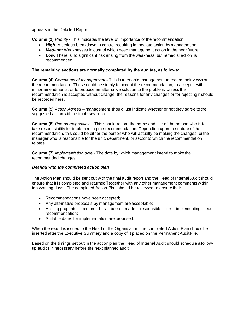appears in the Detailed Report.

**Column (3)** *Priority* - This indicates the level of importance of the recommendation:

- · *High:* A serious breakdown in control requiring immediate action by management;
- · *Medium:* Weaknesses in control which need management action in the nearfuture;
- **Low:** There is no significant risk arising from the weakness, but remedial action is recommended.

## **The remaining sections are normally completed by the auditee, as follows:**

**Column (4)** *Comments of management* **-** This is to enable management to record their views on the recommendation. These could be simply to accept the recommendation; to accept it with minor amendments; or to propose an alternative solution to the problem. Unless the recommendation is accepted without change, the reasons for any changes or for rejecting it should be recorded here.

**Column (5)** *Action Agreed –* management should just indicate whether or not they agree to the suggested action with a simple yes or no

**Column (6)** *Person responsible* - This should record the name and title of the person who is to take responsibility for implementing the recommendation. Depending upon the nature of the recommendation, this could be either the person who will actually be making the changes, orthe manager who is responsible for the unit, department, or sector to which the recommendation relates.

**Column (7)** *Implementation date* - The date by which management intend to make the recommended changes.

#### *Dealing with the completed action plan*

The Action Plan should be sent out with the final audit report and the Head of Internal Audit should ensure that it is completed and returned . together with any other management comments within ten working days. The completed Action Plan should be reviewed to ensure that:

- Recommendations have been accepted;
- · Any alternative proposals by management are acceptable;
- · An appropriate person has been made responsible for implementing each recommendation;
- · Suitable dates for implementation are proposed.

When the report is issued to the Head of the Organisation, the completed Action Plan should be inserted after the Executive Summary and a copy of it placed on the Permanent Audit File.

Based on the timings set out in the action plan the Head of Internal Audit should schedule a followup audit – if necessary before the next planned audit.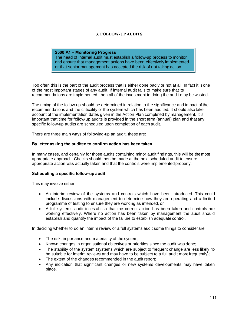# **3. FOLLOW-UP AUDITS**

#### **2500 A1 – Monitoring Progress**

The head of internal audit must establish a follow-up process to monitor and ensure that management actions have been effectively implemented or that senior management has accepted the risk of not taking action.

Too often this is the part of the audit process that is either done badly or not at all. In fact it isone of the most important stages of any audit. If internal audit fails to make sure that its recommendations are implemented, then all of the investment in doing the audit may be wasted.

The timing of the follow-up should be determined in relation to the significance and impact of the recommendations and the criticality of the system which has been audited. It should also take account of the implementation dates given in the Action Plan completed by management. It is important that time for follow-up audits is provided in the short term (annual) plan and that any specific follow-up audits are scheduled upon completion of each audit.

There are three main ways of following-up an audit, these are:

#### **By letter asking the auditee to confirm action has been taken**

In many cases, and certainly for those audits containing minor audit findings, this will be the most appropriate approach. Checks should then be made at the next scheduled audit to ensure appropriate action was actually taken and that the controls were implemented properly.

#### **Scheduling a specific follow-up audit**

This may involve either:

- An interim review of the systems and controls which have been introduced. This could include discussions with management to determine how they are operating and a limited programme of testing to ensure they are working as intended, or
- · A full systems audit to establish that the correct action has been taken and controls are working effectively. Where no action has been taken by management the audit should establish and quantify the impact of the failure to establish adequate control.

In deciding whether to do an interim review or a full systems audit some things to considerare:

- The risk, importance and materiality of the system;
- · Known changes in organisational objectives or priorities since the audit was done;
- The stability of the system (systems which are subject to frequent change are less likely to be suitable for interim reviews and may have to be subject to a full audit morefrequently);
- The extent of the changes recommended in the audit report;
- · Any indication that significant changes or new systems developments may have taken place.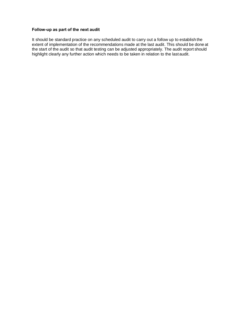#### **Follow-up as part of the next audit**

It should be standard practice on any scheduled audit to carry out a follow up to establish the extent of implementation of the recommendations made at the last audit. This should be done at the start of the audit so that audit testing can be adjusted appropriately. The audit report should highlight clearly any further action which needs to be taken in relation to the last audit.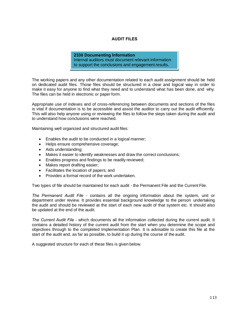# **AUDIT FILES**

#### **2330 Documenting Information** Internal auditors must document relevant information to support the conclusions and engagement results.

The working papers and any other documentation related to each audit assignment should be held on dedicated audit files. Those files should be structured in a clear and logical way in order to make it easy for anyone to find what they need and to understand what has been done, and why. The files can be held in electronic or paper form.

Appropriate use of indexes and of cross-referencing between documents and sections of the files is vital if documentation is to be accessible and assist the auditor to carry out the audit efficiently. This will also help anyone using or reviewing the files to follow the steps taken during the audit and to understand how conclusions were reached.

Maintaining well organized and structured audit files:

- · Enables the audit to be conducted in a logical manner;
- · Helps ensure comprehensive coverage;
- · Aids understanding;
- Makes it easier to identify weaknesses and draw the correct conclusions;
- Enables progress and findings to be readily reviewed;
- Makes report drafting easier:
- Facilitates the location of papers; and
- Provides a formal record of the work undertaken.

Two types of file should be maintained for each audit - the Permanent File and the Current File.

*The Permanent Audit File* - contains all the ongoing information about the system, unit or department under review. It provides essential background knowledge to the person undertaking the audit and should be reviewed at the start of each new audit of that system etc. It should also be updated at the end of the audit.

*The Current Audit File* - which documents all the information collected during the current audit. It contains a detailed history of the current audit from the start when you determine the scope and objectives through to the completed Implementation Plan. It is advisable to create this file at the start of the audit and, as far as possible, to build it up during the course of the audit.

A suggested structure for each of these files is given below.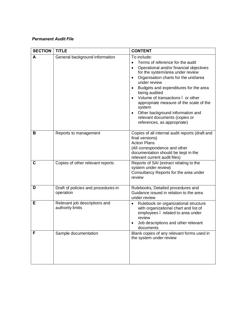# *Permanent Audit File*

| <b>SECTION</b> | <b>TITLE</b>                                      | <b>CONTENT</b>                                                                                                                                                                                                                                                                                                                                                                                                                                                            |
|----------------|---------------------------------------------------|---------------------------------------------------------------------------------------------------------------------------------------------------------------------------------------------------------------------------------------------------------------------------------------------------------------------------------------------------------------------------------------------------------------------------------------------------------------------------|
| A              | General background information                    | To include:<br>Terms of reference for the audit<br>Operational and/or financial objectives<br>$\bullet$<br>for the system/area under review<br>Organisation charts for the unit/area<br>$\bullet$<br>under review<br>Budgets and expenditures for the area<br>being audited<br>Volume of transactions . or other<br>appropriate measure of the scale of the<br>system<br>Other background information and<br>relevant documents (copies or<br>references, as appropriate) |
| B              | Reports to management                             | Copies of all internal audit reports (draft and<br>final versions)<br><b>Action Plans</b><br>(All correspondence and other<br>documentation should be kept in the<br>relevant current audit files)                                                                                                                                                                                                                                                                        |
| $\mathbf c$    | Copies of other relevant reports                  | Reports of SAI (extract relating to the<br>system under review)<br>Consultancy Reports for the area under<br>review                                                                                                                                                                                                                                                                                                                                                       |
| D              | Draft of policies and procedures in<br>operation  | Rulebooks, Detailed procedures and<br>Guidance issued in relation to the area<br>under review                                                                                                                                                                                                                                                                                                                                                                             |
| Е              | Relevant job descriptions and<br>authority limits | Rulebook on organizational structure<br>٠<br>with organizational chart and list of<br>employees. related to area under<br>review<br>Job descriptions and other relevant<br>documents                                                                                                                                                                                                                                                                                      |
| F              | Sample documentation                              | Blank copies of any relevant forms used in<br>the system under review                                                                                                                                                                                                                                                                                                                                                                                                     |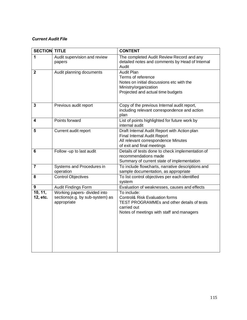# *Current Audit File*

| <b>SECTION TITLE</b>    |                                                                                | <b>CONTENT</b>                                                                                                                                                 |
|-------------------------|--------------------------------------------------------------------------------|----------------------------------------------------------------------------------------------------------------------------------------------------------------|
| 1                       | Audit supervision and review<br>papers                                         | The completed Audit Review Record and any<br>detailed notes and comments by Head of Internal<br>Audit                                                          |
| $\mathbf 2$             | Audit planning documents                                                       | <b>Audit Plan</b><br>Terms of reference<br>Notes on initial discussions etc with the<br>Ministry/organization<br>Projected and actual time budgets             |
| 3                       | Previous audit report                                                          | Copy of the previous Internal audit report,<br>including relevant correspondence and action<br>plan                                                            |
| 4                       | Points forward                                                                 | List of points highlighted for future work by<br>internal audit                                                                                                |
| 5                       | Current audit report                                                           | Draft Internal Audit Report with Action plan<br>Final Internal Audit Report<br>All relevant correspondence Minutes<br>of exit and final meetings               |
| 6                       | Follow -up to last audit                                                       | Details of tests done to check implementation of<br>recommendations made<br>Summary of current state of implementation                                         |
| $\overline{\mathbf{7}}$ | Systems and Procedures in<br>operation                                         | To include flowcharts, narrative descriptions and<br>sample documentation, as appropriate                                                                      |
| 8                       | <b>Control Objectives</b>                                                      | To list control objectives per each identified<br>system                                                                                                       |
| 9                       | Audit Findings Form                                                            | Evaluation of weaknesses, causes and effects                                                                                                                   |
| 10, 11,<br>12, etc.     | Working papers- divided into<br>sections(e.g. by sub-system) as<br>appropriate | To include:<br>Control& Risk Evaluation forms<br><b>TEST PROGRAMMEs and other details of tests</b><br>carried out<br>Notes of meetings with staff and managers |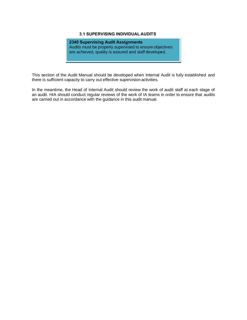# **3.1 SUPERVISING INDIVIDUAL AUDITS**

**2340 Supervising Audit Assignments** Audits must be properly supervised to ensure objectives are achieved, quality is assured and staff developed.

This section of the Audit Manual should be developed when Internal Audit is fully established and there is sufficient capacity to carry out effective supervision activities.

In the meantime, the Head of Internal Audit should review the work of audit staff at each stage of an audit. HIA should conduct regular reviews of the work of IA teams in order to ensure that audits are carried out in accordance with the guidance in this audit manual.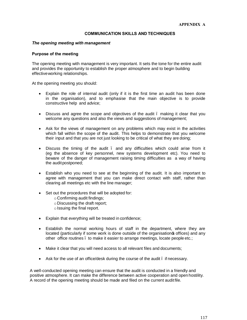# **COMMUNICATION SKILLS AND TECHNIQUES**

#### *The opening meeting with management*

#### **Purpose of the meeting**

The opening meeting with management is very important. It sets the tone for the entire audit and provides the opportunity to establish the proper atmosphere and to begin building effectiveworking relationships.

At the opening meeting you should:

- Explain the role of internal audit (only if it is the first time an audit has been done in the organisation), and to emphasise that the main objective is to provide constructive help and advice;
- Discuss and agree the scope and objectives of the audit . making it clear that you welcome any questions and also the views and suggestions of management;
- · Ask for the views of management on any problems which may exist in the activities which fall within the scope of the audit. This helps to demonstrate that you welcome their input and that you are not just looking to be critical of what they are doing;
- · Discuss the timing of the audit and any difficulties which could arise from it (eg the absence of key personnel, new systems development etc). You need to beware of the danger of management raising timing difficulties as a way of having the audit postponed;
- · Establish who you need to see at the beginning of the audit. It is also important to agree with management that you can make direct contact with staff, rather than clearing all meetings etc with the line manager;
- · Set out the procedures that will be adopted for:
	- oConfirming audit findings;
	- oDiscussing the draft report;
	- o Issuing the final report.
- · Explain that everything will be treated in confidence;
- · Establish the normal working hours of staff in the department, where they are located (particularly if some work is done outside of the organisation **s** offices) and any other office routines – to make it easier to arrange meetings, locate people etc.;
- Make it clear that you will need access to all relevant files and documents;
- Ask for the use of an office/desk during the course of the audit . if necessary.

A well-conducted opening meeting can ensure that the audit is conducted in a friendly and positive atmosphere. It can make the difference between active cooperation and open hostility. A record of the opening meeting should be made and filed on the current audit file.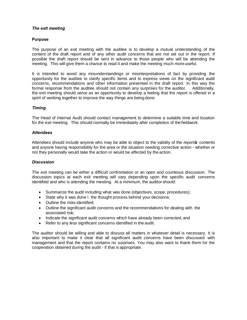#### *The exit meeting*

#### **Purpose**

The purpose of an exit meeting with the auditee is to develop a mutual understanding of the content of the draft report and of any other audit concerns that are not set out in the report. If possible the draft report should be sent in advance to those people who will be attending the meeting. This will give them a chance to read it and make the meeting much more useful.

It is intended to avoid any misunderstandings or misinterpretations of fact by providing the opportunity for the auditee to clarify specific items and to express views on the significant audit concerns, recommendations and other information presented in the draft report. In this way the formal response from the auditee should not contain any surprises for the auditor. Additionally, the exit meeting should serve as an opportunity to develop a feeling that the report is offered in a spirit of working together to improve the way things are being done.

### *Timing*

The Head of Internal Audit should contact management to determine a suitable time and location for the exit meeting. This should normally be immediately after completion of the fieldwork.

#### *Attendees*

Attendees should include anyone who may be able to object to the validity of the reports contents and anyone having responsibility for the area or the situation needing corrective action - whether or not they personally would take the action or would be affected by the action.

#### *Discussion*

The exit meeting can be either a difficult confrontation or an open and courteous discussion. The discussion topics at each exit meeting will vary depending upon the specific audit concerns identified and who is attending the meeting. At a minimum, the auditor should:

- · Summarize the audit including what was done (objectives, scope, procedures);
- State why it was done . the thought process behind your decisions;
- Outline the risks identified;
- · Outline the significant audit concerns and the recommendations for dealing with the associated risk;
- · Indicate the significant audit concerns which have already been corrected, and
- Refer to any less significant concerns identified in the audit.

The auditor should be willing and able to discuss all matters in whatever detail is necessary. It is also important to make it clear that all significant audit concerns have been discussed with management and that the report contains no surprises. You may also want to thank them for the cooperation obtained during the audit - if that is appropriate.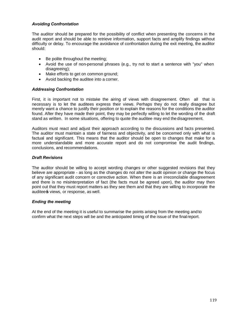# *Avoiding Confrontation*

The auditor should be prepared for the possibility of conflict when presenting the concerns in the audit report and should be able to retrieve information, support facts and amplify findings without difficulty or delay. To encourage the avoidance of confrontation during the exit meeting, the auditor should:

- Be polite throughout the meeting;
- · Avoid the use of non-personal phrases (e.g., try not to start a sentence with "you" when disagreeing);
- · Make efforts to get on common ground;
- Avoid backing the auditee into a corner.

# *Addressing Confrontation*

First, it is important not to mistake the airing of views with disagreement. Often all that is necessary is to let the auditees express their views. Perhaps they do not really disagree but merely want a chance to justify their position or to explain the reasons for the conditions the auditor found. After they have made their point, they may be perfectly willing to let the wording of the draft stand as written. In some situations, offering to quote the auditee may end the disagreement.

Auditors must react and adjust their approach according to the discussions and facts presented. The auditor must maintain a state of fairness and objectivity, and be concerned only with what is factual and significant. This means that the auditor should be open to changes that make for a more understandable and more accurate report and do not compromise the audit findings, conclusions, and recommendations.

# *Draft Revisions*

The auditor should be willing to accept wording changes or other suggested revisions that they believe are appropriate - as long as the changes do not alter the audit opinion or change the focus of any significant audit concern or corrective action. When there is an irreconcilable disagreement and there is no misinterpretation of fact (the facts must be agreed upon), the auditor may then point out that they must report matters as they see them and that they are willing to incorporate the auditees views, or response, as well.

# *Ending the meeting*

At the end of the meeting it is useful to summarise the points arising from the meeting and to confirm what the next steps will be and the anticipated timing of the issue of the finalreport.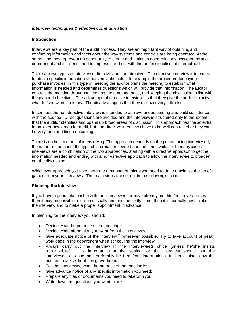#### *Interview techniques & effective communication*

#### **Introduction**

Interviews are a key part of the audit process. They are an important way of obtaining and confirming information and facts about the way systems and controls are being operated. At the same time they represent an opportunity to create and maintain good relations between the audit department and its clients, and to impress the client with the professionalism of internal audit.

There are two types of interview – directive and non-directive. The directive interview is intended to obtain specific information about verifiable facts – for example the procedure for paying purchase invoices. In this type of meeting the auditor plans the meeting to establish what information is needed and determines questions which will provide that information. The auditor controls the meeting throughout, setting the tone and pace, and keeping the discussion in line with the planned objectives. The advantage of directive interviews is that they give the auditorexactly what he/she wants to know. The disadvantage is that they discover very little else.

In contrast the non-directive interview is intended to achieve understanding and build confidence with the auditee. Direct questions are avoided and the interview is structured only to the extent that the auditor identifies and opens up broad areas of discussion. This approach has the potential to uncover new areas for audit, but non-directive interviews have to be well controlled or they can be very long and time-consuming.

There is no best method of interviewing. The approach depends on the person being interviewed, the nature of the audit, the type of information needed and the time available. In many cases interviews are a combination of the two approaches, starting with a directive approach to get the information needed and ending with a non-directive approach to allow the interviewee to broaden out the discussion.

Whichever approach you take there are a number of things you need to do to maximise the benefit gained from your interviews. The main steps are set out in the following sections.

# **Planning the interview**

If you have a good relationship with the interviewee, or have already met him/her several times, then it may be possible to call in casually and unexpectedly. If not then it is normally best to plan the interview and to make a proper appointment in advance.

In planning for the interview you should:

- Decide what the purpose of the meeting is;
- · Decide what information you want from the interviewee;
- Give adequate notice of the interview . wherever possible. Try to take account of peak workloads in the department when scheduling the interview;
- Always carry out the interview in the interviewees office (unless he/she insists otherwise). It is important that the setting for the interview should put the interviewee at ease and preferably be free from interruptions. It should also allow the auditee to talk without being overheard;
- Tell the interviewee what the purpose of the meeting is;
- Give advance notice of any specific information you need;
- Prepare any files or documents you need to take with you;
- · Write down the questions you want to ask.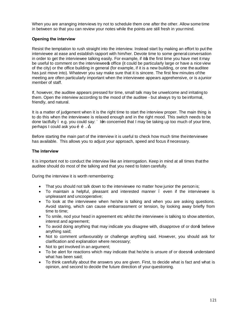When you are arranging interviews try not to schedule them one after the other. Allow some time in between so that you can review your notes while the points are still fresh in yourmind.

# **Opening the interview**

Resist the temptation to rush straight into the interview. Instead start by making an effort to put the interviewee at ease and establish rapport with him/her. Devote time to some general conversation in order to get the interviewee talking easily. For example, if its the first time you have met it may be useful to comment on the interviewee soffice (it could be particularly large or have a nice view of the city) or the office building in general (for example, if it is a new building, or one the auditee has just move into). Whatever you say make sure that it is sincere. The first few minutes of the meeting are often particularly important when the interviewee appears apprehensive, or is a junior member of staff.

If, however, the auditee appears pressed for time, small talk may be unwelcome and irritating to them. Open the interview according to the mood of the auditee - but always try to be informal, friendly, and natural.

It is a matter of judgement when it is the right time to start the interview proper. The main thing is to do this when the interviewee is relaxed enough and in the right mood. This switch needs to be done tactfully e.g. you could say: Len concerned that I may be taking up too much of your time, perhaps I could ask you  $\tilde{o}$  ...

Before starting the main part of the interview it is useful to check how much time theinterviewee has available. This allows you to adjust your approach, speed and focus if necessary.

# **The interview**

It is important not to conduct the interview like an interrogation. Keep in mind at all times that the auditee should do most of the talking and that you need to listen carefully.

During the interview it is worth remembering:

- That you should not talk down to the interviewee no matter how junior the person is;
- To maintain a helpful, pleasant and interested manner . even if the interviewee is unpleasant and uncooperative;
- · To look at the interviewee when he/she is talking and when you are asking questions. Avoid staring, which can cause embarrassment or tension, by looking away briefly from time to time;
- · To smile, nod your head in agreement etc whilst the interviewee is talking to show attention, interest and agreement;
- To avoid doing anything that may indicate you disagree with, disapprove of or don $\pm$  believe anything said;
- · Not to comment unfavourably or challenge anything said. However, you should ask for clarification and explanation where necessary;
- Not to get involved in an argument;
- To be alert for reactions which may indicate that he/she is unsure of or doesn $\pm$  understand what has been said;
- · To think carefully about the answers you are given. First, to decide what is fact and what is opinion, and second to decide the future direction of your questioning.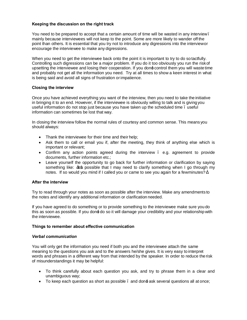# **Keeping the discussion on the right track**

You need to be prepared to accept that a certain amount of time will be wasted in any interview– mainly because interviewees will not keep to the point. Some are more likely to wander off the point than others. It is essential that you try not to introduce any digressions into the interviewor encourage the interviewee to make any digressions.

When you need to get the interviewee back onto the point it is important to try to do so tactfully. Controlling such digressions can be a major problem. If you do it too obviously you run the riskof upsetting the interviewee and losing their cooperation. If you don± control them you will waste time and probably not get all the information you need. Try at all times to show a keen interest in what is being said and avoid all signs of frustration orimpatience.

### **Closing the interview**

Once you have achieved everything you want of the interview, then you need to take the initiative in bringing it to an end. However, if the interviewee is obviously willing to talk and is giving you useful information do not stop just because you have taken up the scheduled time – useful information can sometimes be lost that way.

In closing the interview follow the normal rules of courtesy and common sense. This means you should always:

- Thank the interviewee for their time and their help;
- Ask them to call or email you if, after the meeting, they think of anything else which is important or relevant;
- Confirm any action points agreed during the interview e.g. agreement to provide documents, further information etc.;
- Leave yourself the opportunity to go back for further information or clarification by saying something like: Its possible that I may need to clarify something when I go through my notes. If so would you mind if I called you or came to see you again for a fewminutes?

#### **After the interview**

Try to read through your notes as soon as possible after the interview. Make any amendments to the notes and identify any additional information or clarification needed.

If you have agreed to do something or to provide something to the interviewee make sure you do this as soon as possible. If you don± do so it will damage your credibility and your relationship with the interviewee.

#### **Things to remember about effective communication**

#### *Verbal communication*

You will only get the information you need if both you and the interviewee attach the same meaning to the questions you ask and to the answers he/she gives. It is very easy to interpret words and phrases in a different way from that intended by the speaker. In order to reduce the risk of misunderstandings it may be helpful:

- · To think carefully about each question you ask, and try to phrase them in a clear and unambiguous way;
- To keep each question as short as possible  $\ldots$  and don $\pm$  ask several questions all at once;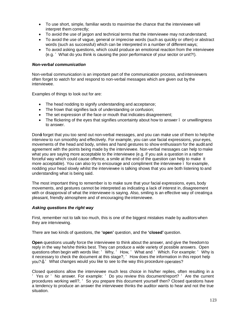- · To use short, simple, familiar words to maximise the chance that the interviewee will interpret them correctly;
- · To avoid the use of jargon and technical terms that the interviewee may not understand;
- · To avoid the use of vague, general or imprecise words (such as quickly or often) or abstract words (such as successful) which can be interpreted in a number of different ways;
- · To avoid asking questions, which could produce an emotional reaction from the interviewee (e.g. What do you think is causing the poor performance of your sector or unit?!).

# *Non-verbal communication*

Non-verbal communication is an important part of the communication process, and interviewers often forget to watch for and respond to non-verbal messages which are given out by the interviewee.

Examples of things to look out for are:

- The head nodding to signify understanding and acceptance;
- · The frown that signifies lack of understanding or confusion;
- · The set expression of the face or mouth that indicates disagreement;
- The flickering of the eyes that signifies uncertainty about how to answer  $\ldots$  or unwillingness to answer.

Don± forget that you too send out non-verbal messages, and you can make use of them to help the interview to run smoothly and effectively. For example, you can use facial expressions, your eyes, movements of the head and body, smiles and hand gestures to show enthusiasm for the audit and agreement with the points being made by the interviewee. Non-verbal messages can help to make what you are saying more acceptable to the interviewee (e.g. if you ask a question in a rather forceful way which could cause offence, a smile at the end of the question can help to make it more acceptable). You can also try to encourage and compliment the interviewee – for example, nodding your head slowly whilst the interviewee is talking shows that you are both listening to and understanding what is being said.

The most important thing to remember is to make sure that your facial expressions, eyes, body movements, and gestures cannot be interpreted as indicating a lack of interest in, disagreement with or disapproval of what the interviewee is saying. Also, smiling is an effective way of creatinga pleasant, friendly atmosphere and of encouraging the interviewee.

# *Asking questions the right way*

First, remember not to talk too much, this is one of the biggest mistakes made by auditors when they are interviewing.

There are two kinds of questions, the **'open'** question, and the **'closed'** question.

**Open** questions usually force the interviewee to think about the answer, and give the freedom to reply in the way he/she thinks best. They can produce a wide variety of possible answers. Open questions often begin with words like: Why, How, What and Which. For example: Why is it necessary to check the document at this stage?, How does the information in this report help you? , What changes would you like to see to the way this procedure operates?

Closed questions allow the interviewee much less choice in his/her replies, often resulting in a Yes or No answer. For example: Do you review this document/report? Are the current procedures working well?, So you prepare this document yourself then? Closed questions have a tendency to produce an answer the interviewee thinks the auditor wants to hear and not the true situation.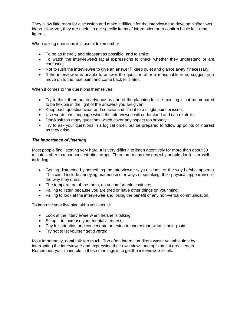They allow little room for discussion and make it difficult for the interviewee to develop his/herown ideas. However, they are useful to get specific items of information or to confirm basic facts and figures.

When asking questions it is useful to remember:

- · To be as friendly and pleasant as possible, and to smile;
- To watch the interviewee is facial expressions to check whether they understand or are confused;
- Not to rush the interviewee to give an answer, keep quiet and glance away if necessary;
- · If the interviewee is unable to answer the question after a reasonable time, suggest you move on to the next point and come back to it later.

When it comes to the questions themselves:

- Try to think them out in advance as part of the planning for the meeting  $\blacksquare$  but be prepared to be flexible in the light of the answers you are given;
- · Keep each question clear and concise and limit it to a single point orissue;
- · Use words and language which the interviewee will understand and can relate to;
- Don± ask too many questions which cover any aspect too broadly;
- · Try to ask your questions in a logical order, but be prepared to follow up points of interest as they arise.

# *The importance of listening*

Most people find listening very hard. It is very difficult to listen attentively for more than about 30 minutes, after that our concentration drops. There are many reasons why people don $\pm$  listen well, including:

- · Getting distracted by something the interviewee says or does, or the way he/she appears. This could include annoying mannerisms or ways of speaking, their physical appearance or the way they dress;
- · The temperature of the room, an uncomfortable chair etc;
- Failing to listen because you are tired or have other things on your mind;
- Failing to look at the interviewee and losing the benefit of any non-verbal communication.

To improve your listening skills you should:

- Look at the interviewee when he/she is talking;
- Sit up  $\epsilon$  to increase your mental alertness:
- · Pay full attention and concentrate on trying to understand what is being said;
- · Try not to let yourself get diverted.

Most importantly, don± talk too much. Too often internal auditors waste valuable time by interrupting the interviewee and expressing their own views and opinions at great length. Remember, your main role in these meetings is to get the interviewee to talk.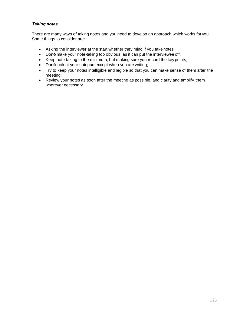# *Taking notes*

There are many ways of taking notes and you need to develop an approach which works for you. Some things to consider are:

- · Asking the interviewer at the start whether they mind if you take notes;
- Don± make your note-taking too obvious, as it can put the interviewee off;
- · Keep note-taking to the minimum, but making sure you record the key points;
- Don± look at your notepad except when you are writing;
- · Try to keep your notes intelligible and legible so that you can make sense of them after the meeting;
- · Review your notes as soon after the meeting as possible, and clarify and amplify them wherever necessary.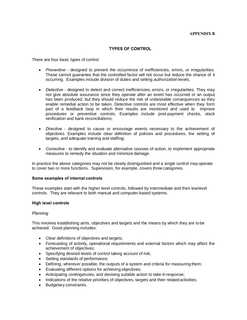### **TYPES OF CONTROL**

There are four basic types of control:

- · *Preventive* designed to prevent the occurrence of inefficiencies, errors, or irregularities. These cannot guarantee that the controlled factor will not occur but reduce the chance of it occurring. Examples include division of duties and setting authorization levels;
- · *Detective*  designed to detect and correct inefficiencies, errors, or irregularities. They may not give absolute assurance since they operate after an event has occurred or an output has been produced, but they should reduce the risk of undesirable consequences as they enable remedial action to be taken. Detective controls are most effective when they form part of a feedback loop in which their results are monitored and used to improve procedures or preventive controls. Examples include post-payment checks, stock verification and bank reconciliations;
- · *Directive*  designed to cause or encourage events necessary to the achievement of objectives. Examples include clear definition of policies and procedures, the setting of targets, and adequate training and staffing;
- · *Corrective*  to identify and evaluate alternative courses of action, to implement appropriate measures to remedy the situation and minimize damage.

In practice the above categories may not be clearly distinguished and a single control may operate to cover two or more functions. Supervision, for example, covers three categories.

#### **Some examples of internal controls**

These examples start with the higher level controls, followed by intermediate and then lowlevel controls. They are relevant to both manual and computer-based systems.

#### **High level controls**

#### *Planning*

This involves establishing aims, objectives and targets and the means by which they are to be achieved. Good planning includes:

- · Clear definitions of objectives and targets;
- · Forecasting of activity, operational requirements and external factors which may affect the achievement of objectives;
- · Specifying desired levels of control taking account of risk;
- · Setting standards of performance;
- Defining, wherever possible, the outputs of a system and criteria for measuring them;
- · Evaluating different options for achieving objectives;
- · Anticipating contingencies, and devising suitable action to take in response;
- Indications of the relative priorities of objectives, targets and their related activities;
- Budgetary constraints.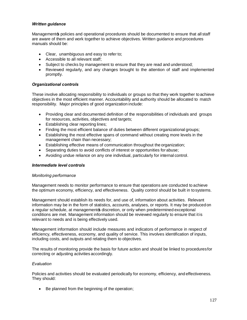## *Written guidance*

Management is policies and operational procedures should be documented to ensure that all staff are aware of them and work together to achieve objectives. Written guidance and procedures manuals should be:

- · Clear, unambiguous and easy to refer to;
- · Accessible to all relevant staff;
- · Subject to checks by management to ensure that they are read and understood;
- · Reviewed regularly, and any changes brought to the attention of staff and implemented promptly.

# *Organizational controls*

These involve allocating responsibility to individuals or groups so that they work together to achieve objectives in the most efficient manner. Accountability and authority should be allocated to match responsibility. Major principles of good organization include:

- · Providing clear and documented definition of the responsibilities of individuals and groups for resources, activities, objectives and targets;
- · Establishing clear reporting lines;
- Finding the most efficient balance of duties between different organizational groups;
- Establishing the most effective spans of command without creating more levels in the management chain than necessary;
- Establishing effective means of communication throughout the organization;
- · Separating duties to avoid conflicts of interest or opportunities for abuse;
- · Avoiding undue reliance on any one individual, particularly for internal control.

#### *Intermediate level controls*

#### *Monitoring performance*

Management needs to monitor performance to ensure that operations are conducted to achieve the optimum economy, efficiency, and effectiveness. Quality control should be built in tosystems.

Management should establish its needs for, and use of, information about activities. Relevant information may be in the form of statistics, accounts, analyses, or reports. It may be produced on a regular schedule, at managements discretion, or only when predetermined exceptional conditions are met. Management information should be reviewed regularly to ensure that it is relevant to needs and is being effectively used.

Management information should include measures and indicators of performance in respect of efficiency, effectiveness, economy, and quality of service. This involves identification of inputs, including costs, and outputs and relating them to objectives.

The results of monitoring provide the basis for future action and should be linked to proceduresfor correcting or adjusting activities accordingly.

#### *Evaluation*

Policies and activities should be evaluated periodically for economy, efficiency, and effectiveness. They should:

Be planned from the beginning of the operation;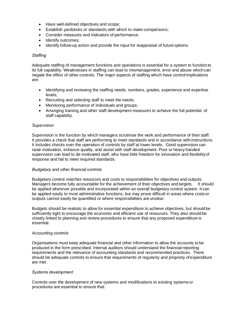- · Have well-defined objectives and scope;
- Establish yardsticks or standards with which to make comparisons;
- Consider measures and indicators of performance;
- Identify outcomes;
- · Identify follow-up action and provide the input for reappraisal of future options.

## *Staffing*

Adequate staffing of management functions and operations is essential for a system to function to its full capability. Weaknesses in staffing can lead to mismanagement, error and abuse which can negate the effect of other controls. The major aspects of staffing which have control implications are:

- · Identifying and reviewing the staffing needs: numbers, grades, experience and expertise levels;
- · Recruiting and selecting staff to meet the needs;
- · Monitoring performance of individuals and groups;
- · Arranging training and other staff development measures to achieve the full potential of staff capability.

# *Supervision*

Supervision is the function by which managers scrutinise the work and performance of their staff. It provides a check that staff are performing to meet standards and in accordance with instructions. It includes checks over the operation of controls by staff at lower levels. Good supervision can raise motivation, enhance quality, and assist with staff development. Poor or heavy-handed supervision can lead to de-motivated staff, who have little freedom for innovation and flexibilityof response and fail to meet required standards.

#### *Budgetary and other financial controls*

Budgetary control matches resources and costs to responsibilities for objectives and outputs. Managers become fully accountable for the achievement of their objectives and targets. It should be applied wherever possible and incorporated within an overall budgetary control system. It can be applied easily to most administrative functions, but may prove difficult in areas where costs or outputs cannot easily be quantified or where responsibilities are unclear.

Budgets should be realistic to allow for essential expenditure to achieve objectives, but should be sufficiently tight to encourage the economic and efficient use of resources. They also should be closely linked to planning and review procedures to ensure that any proposed expenditure is essential.

#### *Accounting controls*

Organisations must keep adequate financial and other information to allow the accounts to be produced in the form prescribed. Internal auditors should understand the financial reporting requirements and the relevance of accounting standards and recommended practices. There should be adequate controls to ensure that requirements of regularity and propriety of expenditure are met.

# *Systems development*

Controls over the development of new systems and modifications to existing systems or procedures are essential to ensure that: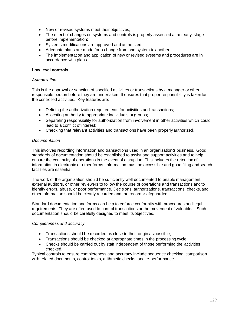- · New or revised systems meet their objectives;
- The effect of changes on systems and controls is properly assessed at an early stage before implementation;
- Systems modifications are approved and authorized;
- Adequate plans are made for a change from one system to another;
- The implementation and application of new or revised systems and procedures are in accordance with plans.

# **Low level controls**

## *Authorization*

This is the approval or sanction of specified activities or transactions by a manager or other responsible person before they are undertaken. It ensures that proper responsibility is takenfor the controlled activities. Key features are:

- Defining the authorization requirements for activities and transactions:
- · Allocating authority to appropriate individuals or groups;
- Separating responsibility for authorization from involvement in other activities which could lead to a conflict of interest;
- · Checking that relevant activities and transactions have been properly authorized.

# *Documentation*

This involves recording information and transactions used in an organisation **s** business. Good standards of documentation should be established to assist and support activities and to help ensure the continuity of operations in the event of disruption. This includes the retention of information in electronic or other forms. Information must be accessible and good filing andsearch facilities are essential.

The work of the organization should be sufficiently well documented to enable management, external auditors, or other reviewers to follow the course of operations and transactions and to identify errors, abuse, or poor performance. Decisions, authorizations, transactions, checks, and other information should be clearly recorded and the records safeguarded.

Standard documentation and forms can help to enforce conformity with procedures and legal requirements. They are often used to control transactions or the movement of valuables. Such documentation should be carefully designed to meet its objectives.

# *Completeness and accuracy*

- · Transactions should be recorded as close to their origin as possible;
- · Transactions should be checked at appropriate times in the processing cycle;
- Checks should be carried out by staff independent of those performing the activities checked.

Typical controls to ensure completeness and accuracy include sequence checking, comparison with related documents, control totals, arithmetic checks, and re-performance.